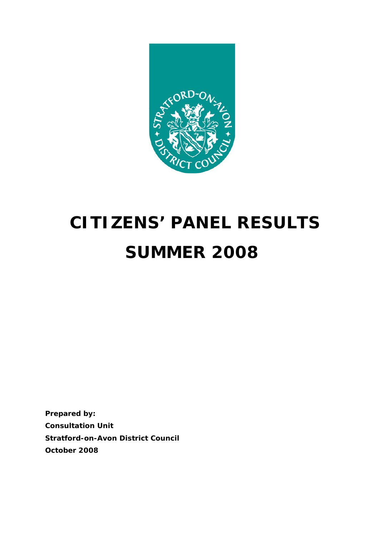

# **CITIZENS' PANEL RESULTS SUMMER 2008**

**Prepared by: Consultation Unit Stratford-on-Avon District Council October 2008**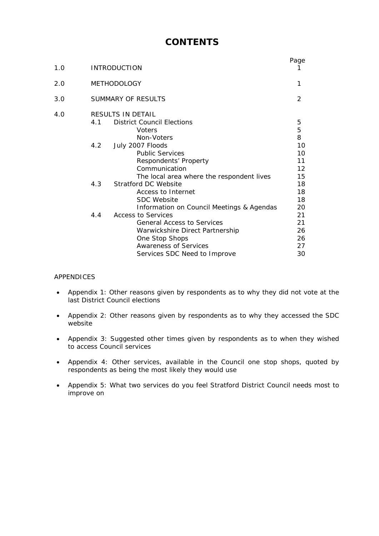### **CONTENTS**

| 1.0 | <b>INTRODUCTION</b>                                                                                                                                                                                                                                                                                                                                                                                                                                                                                                                                                   | Page                                                                                                  |
|-----|-----------------------------------------------------------------------------------------------------------------------------------------------------------------------------------------------------------------------------------------------------------------------------------------------------------------------------------------------------------------------------------------------------------------------------------------------------------------------------------------------------------------------------------------------------------------------|-------------------------------------------------------------------------------------------------------|
| 2.0 | <b>METHODOLOGY</b>                                                                                                                                                                                                                                                                                                                                                                                                                                                                                                                                                    | 1                                                                                                     |
| 3.0 | SUMMARY OF RESULTS                                                                                                                                                                                                                                                                                                                                                                                                                                                                                                                                                    | 2                                                                                                     |
| 4.0 | <b>RESULTS IN DETAIL</b><br><b>District Council Elections</b><br>4.1<br><i>Voters</i><br>Non-Voters<br>4.2<br>July 2007 Floods<br><b>Public Services</b><br>Respondents' Property<br>Communication<br>The local area where the respondent lives<br>Stratford DC Website<br>4.3<br>Access to Internet<br><b>SDC</b> Website<br>Information on Council Meetings & Agendas<br>Access to Services<br>4.4<br><b>General Access to Services</b><br>Warwickshire Direct Partnership<br><b>One Stop Shops</b><br><b>Awareness of Services</b><br>Services SDC Need to Improve | 5<br>5<br>8<br>10<br>10<br>11<br>12<br>15<br>18<br>18<br>18<br>20<br>21<br>21<br>26<br>26<br>27<br>30 |

#### APPENDICES

- Appendix 1: Other reasons given by respondents as to why they did not vote at the last District Council elections
- Appendix 2: Other reasons given by respondents as to why they accessed the SDC website
- Appendix 3: Suggested other times given by respondents as to when they wished to access Council services
- Appendix 4: Other services, available in the Council one stop shops, quoted by respondents as being the most likely they would use
- Appendix 5: What two services do you feel Stratford District Council needs most to improve on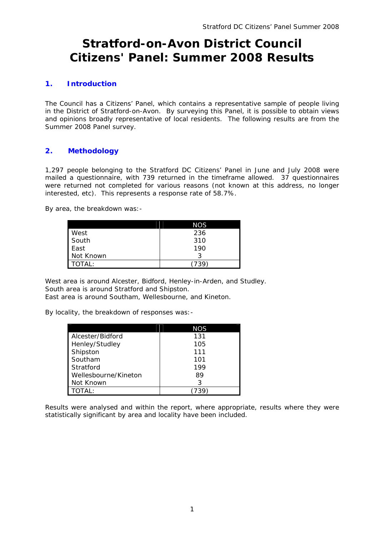### **Stratford-on-Avon District Council Citizens' Panel: Summer 2008 Results**

#### **1. Introduction**

The Council has a Citizens' Panel, which contains a representative sample of people living in the District of Stratford-on-Avon. By surveying this Panel, it is possible to obtain views and opinions broadly representative of local residents. The following results are from the Summer 2008 Panel survey.

#### **2. Methodology**

1,297 people belonging to the Stratford DC Citizens' Panel in June and July 2008 were mailed a questionnaire, with 739 returned in the timeframe allowed. 37 questionnaires were returned not completed for various reasons (not known at this address, no longer interested, etc). This represents a response rate of 58.7%.

By area, the breakdown was:-

|           | <b>NOS</b> |
|-----------|------------|
| West      | 236        |
| South     | 310        |
| East      | 190        |
| Not Known | 2          |
| TOTAL:    | 739        |

West area is around Alcester, Bidford, Henley-in-Arden, and Studley. South area is around Stratford and Shipston. East area is around Southam, Wellesbourne, and Kineton.

By locality, the breakdown of responses was:-

|                      | <b>NOS</b> |
|----------------------|------------|
| Alcester/Bidford     | 131        |
| Henley/Studley       | 105        |
| Shipston             | 111        |
| Southam              | 101        |
| Stratford            | 199        |
| Wellesbourne/Kineton | 89         |
| Not Known            | 3          |
| TOTAI:               |            |

Results were analysed and within the report, where appropriate, results where they were statistically significant by area and locality have been included.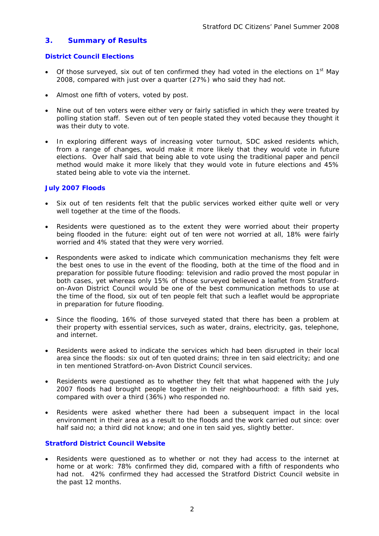#### **3. Summary of Results**

#### **District Council Elections**

- Of those surveyed, six out of ten confirmed they had voted in the elections on  $1<sup>st</sup>$  May 2008, compared with just over a quarter (27%) who said they had not.
- Almost one fifth of voters, voted by post.
- Nine out of ten voters were either very or fairly satisfied in which they were treated by polling station staff. Seven out of ten people stated they voted because they thought it was their duty to vote.
- In exploring different ways of increasing voter turnout, SDC asked residents which, from a range of changes, would make it more likely that they would vote in future elections. Over half said that being able to vote using the traditional paper and pencil method would make it more likely that they would vote in future elections and 45% stated being able to vote via the internet.

#### **July 2007 Floods**

- Six out of ten residents felt that the public services worked either quite well or very well together at the time of the floods.
- Residents were questioned as to the extent they were worried about their property being flooded in the future: eight out of ten were not worried at all, 18% were fairly worried and 4% stated that they were very worried.
- Respondents were asked to indicate which communication mechanisms they felt were the best ones to use in the event of the flooding, both at the time of the flood and in preparation for possible future flooding: television and radio proved the most popular in both cases, yet whereas only 15% of those surveyed believed a leaflet from Stratfordon-Avon District Council would be one of the best communication methods to use at the time of the flood, six out of ten people felt that such a leaflet would be appropriate in preparation for future flooding.
- Since the flooding, 16% of those surveyed stated that there has been a problem at their property with essential services, such as water, drains, electricity, gas, telephone, and internet.
- Residents were asked to indicate the services which had been disrupted in their local area since the floods: six out of ten quoted drains; three in ten said electricity; and one in ten mentioned Stratford-on-Avon District Council services.
- Residents were questioned as to whether they felt that what happened with the July 2007 floods had brought people together in their neighbourhood: a fifth said yes, compared with over a third (36%) who responded no.
- Residents were asked whether there had been a subsequent impact in the local environment in their area as a result to the floods and the work carried out since: over half said no; a third did not know; and one in ten said yes, slightly better.

#### **Stratford District Council Website**

Residents were questioned as to whether or not they had access to the internet at home or at work: 78% confirmed they did, compared with a fifth of respondents who had not. 42% confirmed they had accessed the Stratford District Council website in the past 12 months.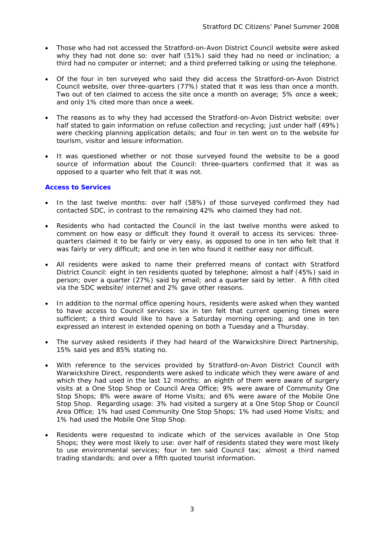- Those who had not accessed the Stratford-on-Avon District Council website were asked why they had not done so: over half (51%) said they had no need or inclination; a third had no computer or internet; and a third preferred talking or using the telephone.
- Of the four in ten surveyed who said they did access the Stratford-on-Avon District Council website, over three-quarters (77%) stated that it was less than once a month. Two out of ten claimed to access the site once a month on average; 5% once a week; and only 1% cited more than once a week.
- The reasons as to why they had accessed the Stratford-on-Avon District website: over half stated to gain information on refuse collection and recycling; just under half (49%) were checking planning application details; and four in ten went on to the website for tourism, visitor and leisure information.
- It was questioned whether or not those surveyed found the website to be a good source of information about the Council: three-quarters confirmed that it was as opposed to a quarter who felt that it was not.

#### **Access to Services**

- In the last twelve months: over half (58%) of those surveyed confirmed they had contacted SDC, in contrast to the remaining 42% who claimed they had not.
- Residents who had contacted the Council in the last twelve months were asked to comment on how easy or difficult they found it overall to access its services: threequarters claimed it to be fairly or very easy, as opposed to one in ten who felt that it was fairly or very difficult; and one in ten who found it neither easy nor difficult.
- All residents were asked to name their preferred means of contact with Stratford District Council: eight in ten residents quoted by telephone; almost a half (45%) said in person; over a quarter (27%) said by email; and a quarter said by letter. A fifth cited via the SDC website/ internet and 2% gave other reasons.
- In addition to the normal office opening hours, residents were asked when they wanted to have access to Council services: six in ten felt that current opening times were sufficient; a third would like to have a Saturday morning opening; and one in ten expressed an interest in extended opening on both a Tuesday and a Thursday.
- The survey asked residents if they had heard of the Warwickshire Direct Partnership, 15% said yes and 85% stating no.
- With reference to the services provided by Stratford-on-Avon District Council with Warwickshire Direct, respondents were asked to indicate which they were aware of and which they had used in the last 12 months: an eighth of them were aware of surgery visits at a One Stop Shop or Council Area Office; 9% were aware of Community One Stop Shops; 8% were aware of Home Visits; and 6% were aware of the Mobile One Stop Shop. Regarding usage: 3% had visited a surgery at a One Stop Shop or Council Area Office; 1% had used Community One Stop Shops; 1% had used Home Visits; and 1% had used the Mobile One Stop Shop.
- Residents were requested to indicate which of the services available in One Stop Shops; they were most likely to use: over half of residents stated they were most likely to use environmental services; four in ten said Council tax; almost a third named trading standards; and over a fifth quoted tourist information.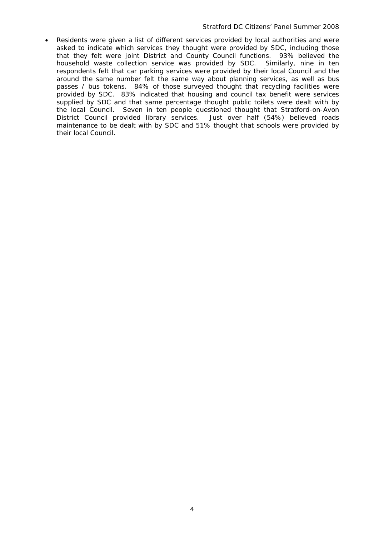• Residents were given a list of different services provided by local authorities and were asked to indicate which services they thought were provided by SDC, including those that they felt were joint District and County Council functions. 93% believed the household waste collection service was provided by SDC. Similarly, nine in ten respondents felt that car parking services were provided by their local Council and the around the same number felt the same way about planning services, as well as bus passes / bus tokens. 84% of those surveyed thought that recycling facilities were provided by SDC. 83% indicated that housing and council tax benefit were services supplied by SDC and that same percentage thought public toilets were dealt with by the local Council. Seven in ten people questioned thought that Stratford-on-Avon District Council provided library services. Just over half (54%) believed roads maintenance to be dealt with by SDC and 51% thought that schools were provided by their local Council.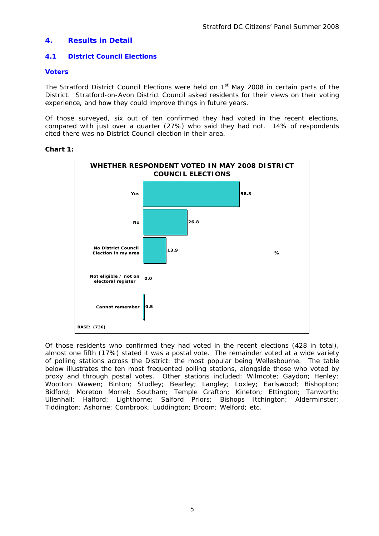#### **4. Results in Detail**

#### **4.1 District Council Elections**

#### **Voters**

The Stratford District Council Elections were held on 1<sup>st</sup> May 2008 in certain parts of the District. Stratford-on-Avon District Council asked residents for their views on their voting experience, and how they could improve things in future years.

Of those surveyed, six out of ten confirmed they had voted in the recent elections, compared with just over a quarter (27%) who said they had not. 14% of respondents cited there was no District Council election in their area.

#### **Chart 1:**



Of those residents who confirmed they had voted in the recent elections (428 in total), almost one fifth (17%) stated it was a postal vote. The remainder voted at a wide variety of polling stations across the District: the most popular being Wellesbourne. The table below illustrates the ten most frequented polling stations, alongside those who voted by proxy and through postal votes. Other stations included: Wilmcote; Gaydon; Henley; Wootton Wawen; Binton; Studley; Bearley; Langley; Loxley; Earlswood; Bishopton; Bidford; Moreton Morrel; Southam; Temple Grafton; Kineton; Ettington; Tanworth; Ullenhall; Halford; Lighthorne; Salford Priors; Bishops Itchington; Alderminster; Tiddington; Ashorne; Combrook; Luddington; Broom; Welford; etc.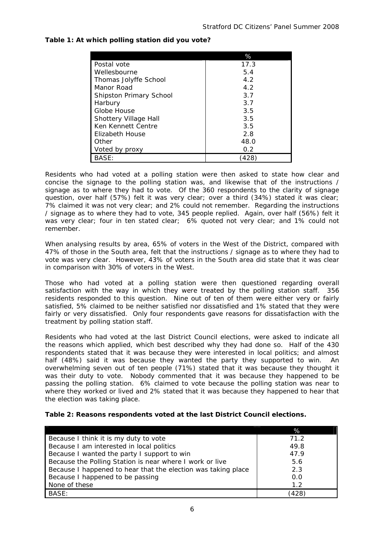|                         | %    |
|-------------------------|------|
| Postal vote             | 17.3 |
| Wellesbourne            | 5.4  |
| Thomas Jolyffe School   | 4.2  |
| Manor Road              | 4.2  |
| Shipston Primary School | 3.7  |
| Harbury                 | 3.7  |
| Globe House             | 3.5  |
| Shottery Village Hall   | 3.5  |
| Ken Kennett Centre      | 3.5  |
| Elizabeth House         | 2.8  |
| Other                   | 48.0 |
| Voted by proxy          | 0.2  |
|                         |      |

#### **Table 1: At which polling station did you vote?**

Residents who had voted at a polling station were then asked to state how clear and concise the signage to the polling station was, and likewise that of the instructions / signage as to where they had to vote. Of the 360 respondents to the clarity of signage question, over half (57%) felt it was very clear; over a third (34%) stated it was clear; 7% claimed it was not very clear; and 2% could not remember. Regarding the instructions / signage as to where they had to vote, 345 people replied. Again, over half (56%) felt it was very clear; four in ten stated clear; 6% quoted not very clear; and 1% could not remember.

When analysing results by area, 65% of voters in the West of the District, compared with 47% of those in the South area, felt that the instructions / signage as to where they had to vote was very clear. However, 43% of voters in the South area did state that it was clear in comparison with 30% of voters in the West.

Those who had voted at a polling station were then questioned regarding overall satisfaction with the way in which they were treated by the polling station staff. 356 residents responded to this question. Nine out of ten of them were either very or fairly satisfied, 5% claimed to be neither satisfied nor dissatisfied and 1% stated that they were fairly or very dissatisfied. Only four respondents gave reasons for dissatisfaction with the treatment by polling station staff.

Residents who had voted at the last District Council elections, were asked to indicate all the reasons which applied, which best described why they had done so. Half of the 430 respondents stated that it was because they were interested in local politics; and almost half (48%) said it was because they wanted the party they supported to win. An overwhelming seven out of ten people (71%) stated that it was because they thought it was their duty to vote. Nobody commented that it was because they happened to be passing the polling station. 6% claimed to vote because the polling station was near to where they worked or lived and 2% stated that it was because they happened to hear that the election was taking place.

| Table 2: Reasons respondents voted at the last District Council elections. |  |  |
|----------------------------------------------------------------------------|--|--|
|                                                                            |  |  |

|                                                               | %    |
|---------------------------------------------------------------|------|
| Because I think it is my duty to vote                         | 71.2 |
| Because I am interested in local politics                     | 49.8 |
| Because I wanted the party I support to win                   | 47.9 |
| Because the Polling Station is near where I work or live      | 5.6  |
| Because I happened to hear that the election was taking place | 2.3  |
| Because I happened to be passing                              | 0.0  |
| None of these                                                 | 1.2  |
| <b>BASE:</b>                                                  | 428  |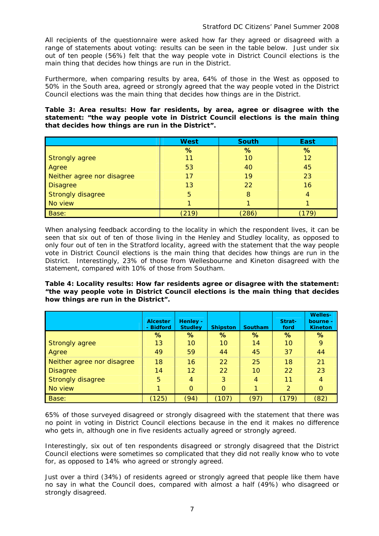All recipients of the questionnaire were asked how far they agreed or disagreed with a range of statements about voting: results can be seen in the table below. Just under six out of ten people (56%) felt that the way people vote in District Council elections is the main thing that decides how things are run in the District.

Furthermore, when comparing results by area, 64% of those in the West as opposed to 50% in the South area, agreed or strongly agreed that the way people voted in the District Council elections was the main thing that decides how things are in the District.

#### **Table 3: Area results: How far residents, by area, agree or disagree with the statement: "***the way people vote in District Council elections is the main thing that decides how things are run in the District".*

|                            | <b>West</b> | <b>South</b> | <b>East</b> |
|----------------------------|-------------|--------------|-------------|
|                            | %           | %            | %           |
| <b>Strongly agree</b>      | 11          | 10           | 12          |
| Agree                      | 53          | 40           | 45          |
| Neither agree nor disagree | 17          | 19           | 23          |
| <b>Disagree</b>            | 13          | 22           | 16          |
| <b>Strongly disagree</b>   | 5           | 8            |             |
| No view                    |             |              |             |
| Base:                      | (219)       | (286)        |             |

When analysing feedback according to the locality in which the respondent lives, it can be seen that six out of ten of those living in the Henley and Studley locality, as opposed to only four out of ten in the Stratford locality, agreed with the statement that the way people vote in District Council elections is the main thing that decides how things are run in the District. Interestingly, 23% of those from Wellesbourne and Kineton disagreed with the statement, compared with 10% of those from Southam.

**Table 4: Locality results: How far residents agree or disagree with the statement:**  *"the way people vote in District Council elections is the main thing that decides how things are run in the District".*

|                            | <b>Alcester</b><br>- Bidford | Henley -<br><b>Studley</b> | <b>Shipston</b> | Southam | Strat-<br>ford | <b>Welles-</b><br>bourne -<br><b>Kineton</b> |
|----------------------------|------------------------------|----------------------------|-----------------|---------|----------------|----------------------------------------------|
|                            | %                            | %                          | %               | %       | %              | %                                            |
| <b>Strongly agree</b>      | 13                           | 10                         | 10              | 14      | 10             | 9                                            |
| Agree                      | 49                           | 59                         | 44              | 45      | 37             | 44                                           |
| Neither agree nor disagree | 18                           | 16                         | 22              | 25      | 18             | 21                                           |
| <b>Disagree</b>            | 14                           | $12 \overline{ }$          | 22              | 10      | 22             | 23                                           |
| Strongly disagree          | 5                            | 4                          | 3               | 4       | 11             | 4                                            |
| No view                    |                              | $\Omega$                   | $\Omega$        |         | $\overline{2}$ | $\mathbf 0$                                  |
| Base:                      | (125)                        | (94)                       | (107)           | (97)    | (179)          | (82)                                         |

65% of those surveyed disagreed or strongly disagreed with the statement that there was no point in voting in District Council elections because in the end it makes no difference who gets in, although one in five residents actually agreed or strongly agreed.

Interestingly, six out of ten respondents disagreed or strongly disagreed that the District Council elections were sometimes so complicated that they did not really know who to vote for, as opposed to 14% who agreed or strongly agreed.

Just over a third (34%) of residents agreed or strongly agreed that people like them have no say in what the Council does, compared with almost a half (49%) who disagreed or strongly disagreed.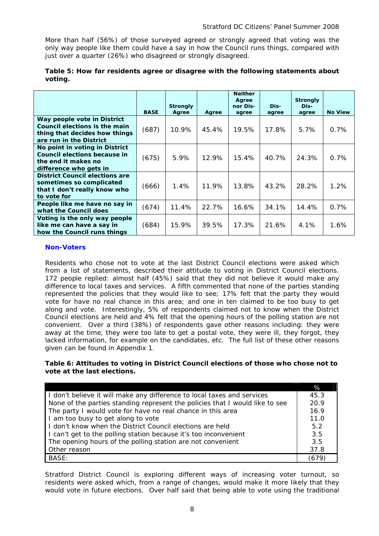More than half (56%) of those surveyed agreed or strongly agreed that voting was the only way people like them could have a say in how the Council runs things, compared with just over a quarter (26%) who disagreed or strongly disagreed.

|                                                                                                                          | <b>BASE</b> | <b>Strongly</b><br>Agree | Agree | <b>Neither</b><br>Agree<br>nor Dis-<br>agree | Dis-<br>agree | <b>Strongly</b><br>Dis-<br>agree | <b>No View</b> |
|--------------------------------------------------------------------------------------------------------------------------|-------------|--------------------------|-------|----------------------------------------------|---------------|----------------------------------|----------------|
| Way people vote in District<br>Council elections is the main<br>thing that decides how things<br>are run in the District | (687)       | 10.9%                    | 45.4% | 19.5%                                        | 17.8%         | $5.7\%$                          | $0.7\%$        |
| No point in voting in District<br>Council elections because in<br>the end it makes no<br>difference who gets in          | (675)       | 5.9%                     | 12.9% | 15.4%                                        | 40.7%         | 24.3%                            | 0.7%           |
| <b>District Council elections are</b><br>sometimes so complicated<br>that I don't really know who<br>to vote for         | (666)       | 1.4%                     | 11.9% | 13.8%                                        | 43.2%         | 28.2%                            | 1.2%           |
| People like me have no say in<br>what the Council does                                                                   | (674)       | 11.4%                    | 22.7% | 16.6%                                        | 34.1%         | 14.4%                            | 0.7%           |
| Voting is the only way people<br>like me can have a say in<br>how the Council runs things                                | (684)       | 15.9%                    | 39.5% | 17.3%                                        | 21.6%         | 4.1%                             | 1.6%           |

#### **Table 5: How far residents agree or disagree with the following statements about voting.**

#### **Non-Voters**

Residents who chose not to vote at the last District Council elections were asked which from a list of statements, described their attitude to voting in District Council elections. 172 people replied: almost half (45%) said that they did not believe it would make any difference to local taxes and services. A fifth commented that none of the parties standing represented the policies that they would like to see; 17% felt that the party they would vote for have no real chance in this area; and one in ten claimed to be too busy to get along and vote. Interestingly, 5% of respondents claimed not to know when the District Council elections are held and 4% felt that the opening hours of the polling station are not convenient. Over a third (38%) of respondents gave other reasons including: they were away at the time, they were too late to get a postal vote, they were ill, they forgot, they lacked information, for example on the candidates, etc. The full list of these other reasons given can be found in Appendix 1.

#### **Table 6: Attitudes to voting in District Council elections of those who chose not to vote at the last elections.**

|                                                                              | %    |
|------------------------------------------------------------------------------|------|
| I don't believe it will make any difference to local taxes and services      | 45.3 |
| None of the parties standing represent the policies that I would like to see | 20.9 |
| The party I would vote for have no real chance in this area                  | 16.9 |
| I am too busy to get along to vote                                           | 11.0 |
| I don't know when the District Council elections are held                    | 5.2  |
| I can't get to the polling station because it's too inconvenient             | 3.5  |
| The opening hours of the polling station are not convenient                  | 3.5  |
| Other reason                                                                 | 37.8 |
| BASE:                                                                        | 679  |

Stratford District Council is exploring different ways of increasing voter turnout, so residents were asked which, from a range of changes, would make it more likely that they would vote in future elections. Over half said that being able to vote using the traditional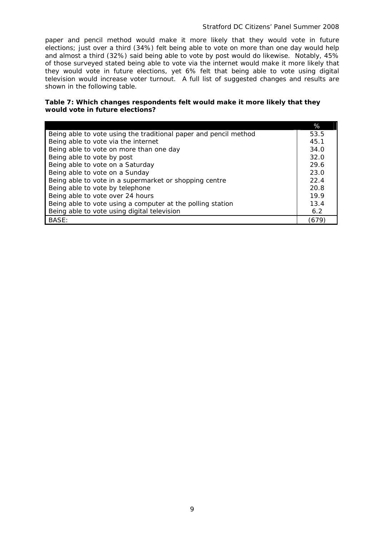paper and pencil method would make it more likely that they would vote in future elections; just over a third (34%) felt being able to vote on more than one day would help and almost a third (32%) said being able to vote by post would do likewise. Notably, 45% of those surveyed stated being able to vote via the internet would make it more likely that they would vote in future elections, yet 6% felt that being able to vote using digital television would increase voter turnout. A full list of suggested changes and results are shown in the following table.

#### **Table 7: Which changes respondents felt would make it more likely that they would vote in future elections?**

|                                                                  | %     |
|------------------------------------------------------------------|-------|
| Being able to vote using the traditional paper and pencil method | 53.5  |
| Being able to vote via the internet                              | 45.1  |
| Being able to vote on more than one day                          | 34.0  |
| Being able to vote by post                                       | 32.0  |
| Being able to vote on a Saturday                                 | 29.6  |
| Being able to vote on a Sunday                                   | 23.0  |
| Being able to vote in a supermarket or shopping centre           | 22.4  |
| Being able to vote by telephone                                  | 20.8  |
| Being able to vote over 24 hours                                 | 19.9  |
| Being able to vote using a computer at the polling station       | 13.4  |
| Being able to vote using digital television                      | 6.2   |
| BASE:                                                            | (679, |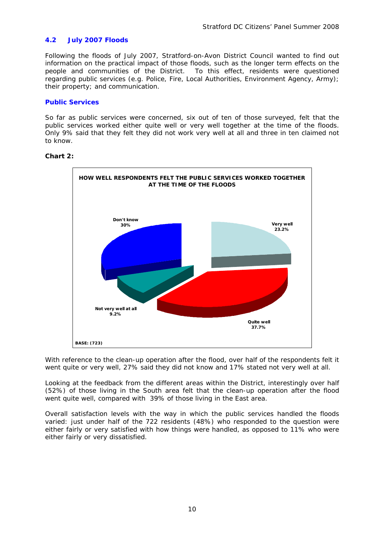#### **4.2 July 2007 Floods**

Following the floods of July 2007, Stratford-on-Avon District Council wanted to find out information on the practical impact of those floods, such as the longer term effects on the people and communities of the District. To this effect, residents were questioned regarding public services (e.g. Police, Fire, Local Authorities, Environment Agency, Army); their property; and communication.

#### **Public Services**

So far as public services were concerned, six out of ten of those surveyed, felt that the public services worked either quite well or very well together at the time of the floods. Only 9% said that they felt they did not work very well at all and three in ten claimed not to know.



#### **Chart 2:**

With reference to the clean-up operation after the flood, over half of the respondents felt it went quite or very well, 27% said they did not know and 17% stated not very well at all.

Looking at the feedback from the different areas within the District, interestingly over half (52%) of those living in the South area felt that the clean-up operation after the flood went quite well, compared with 39% of those living in the East area.

Overall satisfaction levels with the way in which the public services handled the floods varied: just under half of the 722 residents (48%) who responded to the question were either fairly or very satisfied with how things were handled, as opposed to 11% who were either fairly or very dissatisfied.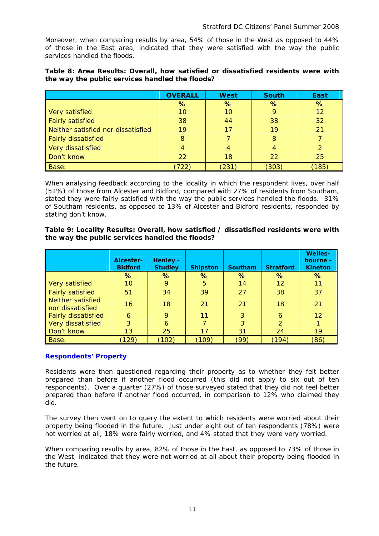Moreover, when comparing results by area, 54% of those in the West as opposed to 44% of those in the East area, indicated that they were satisfied with the way the public services handled the floods.

| Table 8: Area Results: Overall, how satisfied or dissatisfied residents were with |  |  |  |
|-----------------------------------------------------------------------------------|--|--|--|
| the way the public services handled the floods?                                   |  |  |  |

|                                    | <b>OVERALL</b> | <b>West</b> | <b>South</b> | <b>East</b> |
|------------------------------------|----------------|-------------|--------------|-------------|
|                                    | %              | %           | %            | $\%$        |
| Very satisfied                     | 10             | 10          | 9            | 12          |
| <b>Fairly satisfied</b>            | 38             | 44          | 38           | 32          |
| Neither satisfied nor dissatisfied | 19             | 17          | 19           | 21          |
| <b>Fairly dissatisfied</b>         | 8              |             | 8            |             |
| Very dissatisfied                  | 4              | 4           | 4            |             |
| Don't know                         | 22             | 18          | 22           | 25          |
| Base:                              | 722            | (231)       | (303)        | [185]       |

When analysing feedback according to the locality in which the respondent lives, over half (51%) of those from Alcester and Bidford, compared with 27% of residents from Southam, stated they were fairly satisfied with the way the public services handled the floods. 31% of Southam residents, as opposed to 13% of Alcester and Bidford residents, responded by stating don't know.

#### **Table 9: Locality Results: Overall, how satisfied / dissatisfied residents were with the way the public services handled the floods?**

|                                       | Alcester-<br><b>Bidford</b> | Henley -<br><b>Studley</b> | <b>Shipston</b> | <b>Southam</b> | <b>Stratford</b> | <b>Welles-</b><br>bourne -<br><b>Kineton</b> |
|---------------------------------------|-----------------------------|----------------------------|-----------------|----------------|------------------|----------------------------------------------|
|                                       | ℅                           | ℅                          | ℅               | %              | ℅                | ℅                                            |
| Very satisfied                        | 10                          | 9                          | 5               | 14             | 12               | 11                                           |
| <b>Fairly satisfied</b>               | 51                          | 34                         | 39              | 27             | 38               | 37                                           |
| Neither satisfied<br>nor dissatisfied | 16                          | 18                         | 21              | 21             | 18               | 21                                           |
| <b>Fairly dissatisfied</b>            | 6                           | 9                          | 11              | 3              | 6                | 12                                           |
| Very dissatisfied                     | 3                           | 6                          |                 | 3              | $\overline{2}$   |                                              |
| Don't know                            | 13                          | 25                         | 17              | 31             | 24               | 19                                           |
| Base:                                 | ั129)                       | (102)                      | (109)           | (99)           | (194)            | (86)                                         |

#### **Respondents' Property**

Residents were then questioned regarding their property as to whether they felt better prepared than before if another flood occurred (this did not apply to six out of ten respondents). Over a quarter (27%) of those surveyed stated that they did not feel better prepared than before if another flood occurred, in comparison to 12% who claimed they did.

The survey then went on to query the extent to which residents were worried about their property being flooded in the future. Just under eight out of ten respondents (78%) were not worried at all, 18% were fairly worried, and 4% stated that they were very worried.

When comparing results by area, 82% of those in the East, as opposed to 73% of those in the West, indicated that they were not worried at all about their property being flooded in the future.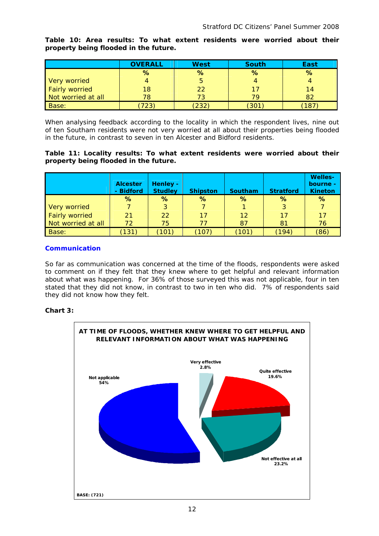**Table 10: Area results: To what extent residents were worried about their property being flooded in the future.**

|                       | <b>OVERALL</b> | <b>West</b> | <b>South</b> | East |
|-----------------------|----------------|-------------|--------------|------|
|                       | %              | %           | %            | %    |
| Very worried          |                |             |              |      |
| <b>Fairly worried</b> | 18             | 22          |              | 14   |
| Not worried at all    | 78             | 73          | 79           | 82   |
| Base:                 | 723            | 232         | 301          | 187  |

When analysing feedback according to the locality in which the respondent lives, nine out of ten Southam residents were not very worried at all about their properties being flooded in the future, in contrast to seven in ten Alcester and Bidford residents.

#### **Table 11: Locality results: To what extent residents were worried about their property being flooded in the future.**

|                       | <b>Alcester</b><br>- Bidford | <b>Henley -</b><br><b>Studley</b> | <b>Shipston</b> | Southam | <b>Stratford</b> | <b>Welles-</b><br>bourne -<br><b>Kineton</b> |
|-----------------------|------------------------------|-----------------------------------|-----------------|---------|------------------|----------------------------------------------|
|                       | %                            | %                                 | %               | %       | $\%$             | %                                            |
| Very worried          |                              | 3                                 |                 |         | 3                |                                              |
| <b>Fairly worried</b> | 21                           | 22                                | 17              | 12      | 17               | 17                                           |
| Not worried at all    | 72                           | 75                                | 77              | 87      | 81               | 76                                           |
| Base:                 | (131)                        | $\left(101\right)$                | (107)           | [101]   | (194)            | (86)                                         |

#### **Communication**

So far as communication was concerned at the time of the floods, respondents were asked to comment on if they felt that they knew where to get helpful and relevant information about what was happening. For 36% of those surveyed this was not applicable, four in ten stated that they did not know, in contrast to two in ten who did. 7% of respondents said they did not know how they felt.

#### **Chart 3:**

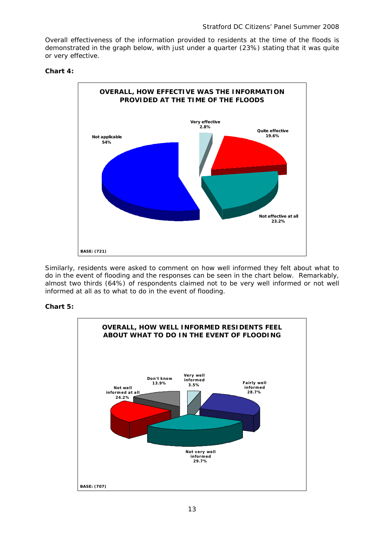Overall effectiveness of the information provided to residents at the time of the floods is demonstrated in the graph below, with just under a quarter (23%) stating that it was quite or very effective.





Similarly, residents were asked to comment on how well informed they felt about what to do in the event of flooding and the responses can be seen in the chart below. Remarkably, almost two thirds (64%) of respondents claimed not to be very well informed or not well informed at all as to what to do in the event of flooding.

#### **Chart 5:**

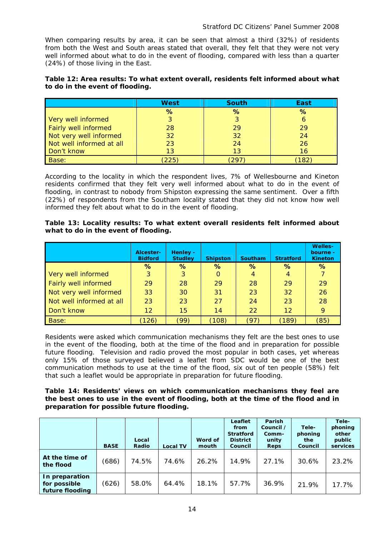When comparing results by area, it can be seen that almost a third (32%) of residents from both the West and South areas stated that overall, they felt that they were not very well informed about what to do in the event of flooding, compared with less than a quarter (24%) of those living in the East.

#### **Table 12: Area results: To what extent overall, residents felt informed about what to do in the event of flooding.**

|                             | <b>West</b> | <b>South</b> | East |
|-----------------------------|-------------|--------------|------|
|                             | %           | %            | %    |
| Very well informed          |             |              |      |
| <b>Fairly well informed</b> | 28          | 29           | 29   |
| Not very well informed      | 32          | 32           | 24   |
| Not well informed at all    | 23          | 24           | 26   |
| Don't know                  | 13          | 13           | 16   |
| Base:                       | 225         | 29'          | 182  |

According to the locality in which the respondent lives, 7% of Wellesbourne and Kineton residents confirmed that they felt very well informed about what to do in the event of flooding, in contrast to nobody from Shipston expressing the same sentiment. Over a fifth (22%) of respondents from the Southam locality stated that they did not know how well informed they felt about what to do in the event of flooding.

#### **Table 13: Locality results: To what extent overall residents felt informed about what to do in the event of flooding.**

|                          | Alcester-<br><b>Bidford</b> | Henley -<br><b>Studley</b> | <b>Shipston</b> | Southam | <b>Stratford</b>  | <b>Welles-</b><br>bourne -<br><b>Kineton</b> |
|--------------------------|-----------------------------|----------------------------|-----------------|---------|-------------------|----------------------------------------------|
|                          | %                           | %                          | %               | $\%$    | $\%$              | %                                            |
| Very well informed       | 3                           | 3                          | 0               | 4       | 4                 |                                              |
| Fairly well informed     | 29                          | 28                         | 29              | 28      | 29                | 29                                           |
| Not very well informed   | 33                          | 30                         | 31              | 23      | 32                | 26                                           |
| Not well informed at all | 23                          | 23                         | 27              | 24      | 23                | 28                                           |
| Don't know               | $12 \overline{ }$           | 15                         | 14              | 22      | $12 \overline{ }$ | 9                                            |
| Base:                    | 126)                        | (99                        | (108)           | (97`    | (189)             | (85)                                         |

Residents were asked which communication mechanisms they felt are the best ones to use in the event of the flooding, both at the time of the flood and in preparation for possible future flooding. Television and radio proved the most popular in both cases, yet whereas only 15% of those surveyed believed a leaflet from SDC would be one of the best communication methods to use at the time of the flood, six out of ten people (58%) felt that such a leaflet would be appropriate in preparation for future flooding.

#### **Table 14: Residents' views on which communication mechanisms they feel are the best ones to use in the event of flooding, both at the time of the flood and in preparation for possible future flooding.**

|                                                   | <b>BASE</b> | Local<br>Radio | <b>Local TV</b> | Word of<br>mouth | Leaflet<br>from<br><b>Stratford</b><br><b>District</b><br>Council | <b>Parish</b><br>Council /<br>Comm-<br>unity<br><b>Reps</b> | Tele-<br>phoning<br>the<br>Council | Tele-<br>phoning<br>other<br>public<br>services |
|---------------------------------------------------|-------------|----------------|-----------------|------------------|-------------------------------------------------------------------|-------------------------------------------------------------|------------------------------------|-------------------------------------------------|
| At the time of<br>the flood                       | (686)       | 74.5%          | 74.6%           | 26.2%            | 14.9%                                                             | 27.1%                                                       | 30.6%                              | 23.2%                                           |
| In preparation<br>for possible<br>future flooding | (626)       | 58.0%          | 64.4%           | 18.1%            | 57.7%                                                             | 36.9%                                                       | 21.9%                              | 17.7%                                           |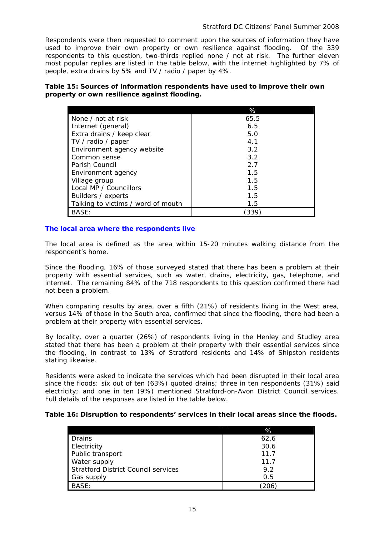Respondents were then requested to comment upon the sources of information they have used to improve their own property or own resilience against flooding. Of the 339 respondents to this question, two-thirds replied none / not at risk. The further eleven most popular replies are listed in the table below, with the internet highlighted by 7% of people, extra drains by 5% and TV / radio / paper by 4%.

#### **Table 15: Sources of information respondents have used to improve their own property or own resilience against flooding.**

|                                    | %     |
|------------------------------------|-------|
| None / not at risk                 | 65.5  |
| Internet (general)                 | 6.5   |
| Extra drains / keep clear          | 5.0   |
| TV / radio / paper                 | 4.1   |
| Environment agency website         | 3.2   |
| Common sense                       | 3.2   |
| Parish Council                     | 2.7   |
| Environment agency                 | 1.5   |
| Village group                      | 1.5   |
| Local MP / Councillors             | 1.5   |
| Builders / experts                 | 1.5   |
| Talking to victims / word of mouth | 1.5   |
| BASE:                              | (339. |

#### **The local area where the respondents live**

The local area is defined as the area within 15-20 minutes walking distance from the respondent's home.

Since the flooding, 16% of those surveyed stated that there has been a problem at their property with essential services, such as water, drains, electricity, gas, telephone, and internet. The remaining 84% of the 718 respondents to this question confirmed there had not been a problem.

When comparing results by area, over a fifth (21%) of residents living in the West area, versus 14% of those in the South area, confirmed that since the flooding, there had been a problem at their property with essential services.

By locality, over a quarter (26%) of respondents living in the Henley and Studley area stated that there has been a problem at their property with their essential services since the flooding, in contrast to 13% of Stratford residents and 14% of Shipston residents stating likewise.

Residents were asked to indicate the services which had been disrupted in their local area since the floods: six out of ten (63%) quoted drains; three in ten respondents (31%) said electricity; and one in ten (9%) mentioned Stratford-on-Avon District Council services. Full details of the responses are listed in the table below.

#### **Table 16: Disruption to respondents' services in their local areas since the floods.**

|                                            | %    |
|--------------------------------------------|------|
| Drains                                     | 62.6 |
| Electricity                                | 30.6 |
| Public transport                           | 11.7 |
| Water supply                               | 11.7 |
| <b>Stratford District Council services</b> | 9.2  |
| Gas supply                                 | 0.5  |
| BASE:                                      |      |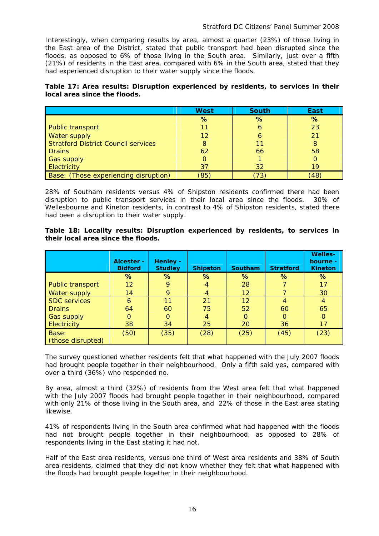Interestingly, when comparing results by area, almost a quarter (23%) of those living in the East area of the District, stated that public transport had been disrupted since the floods, as opposed to 6% of those living in the South area. Similarly, just over a fifth (21%) of residents in the East area, compared with 6% in the South area, stated that they had experienced disruption to their water supply since the floods.

| Table 17: Area results: Disruption experienced by residents, to services in their |  |  |  |  |
|-----------------------------------------------------------------------------------|--|--|--|--|
| local area since the floods.                                                      |  |  |  |  |

|                                            | <b>West</b> | <b>South</b> | East |
|--------------------------------------------|-------------|--------------|------|
|                                            | %           | %            | %    |
| <b>Public transport</b>                    |             |              | 23   |
| <b>Water supply</b>                        | 12          |              | 21   |
| <b>Stratford District Council services</b> | 8           | 11           | 8    |
| <b>Drains</b>                              | 62          | 66           | 58   |
| <b>Gas supply</b>                          | O           |              |      |
| Electricity                                | 37          | 32           | 19   |
| Base: (Those experiencing disruption)      | (85)        | 73           | (48) |

28% of Southam residents versus 4% of Shipston residents confirmed there had been disruption to public transport services in their local area since the floods. 30% of Wellesbourne and Kineton residents, in contrast to 4% of Shipston residents, stated there had been a disruption to their water supply.

|  |                                    |  | Table 18: Locality results: Disruption experienced by residents, to services in |  |  |  |
|--|------------------------------------|--|---------------------------------------------------------------------------------|--|--|--|
|  | their local area since the floods. |  |                                                                                 |  |  |  |

|                         | Alcester -<br><b>Bidford</b> | Henley -<br><b>Studley</b> | <b>Shipston</b> | <b>Southam</b> | <b>Stratford</b> | <b>Welles-</b><br>bourne -<br><b>Kineton</b> |
|-------------------------|------------------------------|----------------------------|-----------------|----------------|------------------|----------------------------------------------|
|                         | %                            | %                          | %               | %              | %                | %                                            |
| <b>Public transport</b> | 12                           | 9                          | 4               | 28             |                  | 17                                           |
| Water supply            | 14                           | 9                          | $\overline{4}$  | 12             |                  | 30                                           |
| <b>SDC</b> services     | 6                            | 11                         | 21              | 12             | $\overline{4}$   | 4                                            |
| <b>Drains</b>           | 64                           | 60                         | 75              | 52             | 60               | 65                                           |
| <b>Gas supply</b>       |                              | $\Omega$                   | 4               | 0              | $\Omega$         | $\Omega$                                     |
| Electricity             | 38                           | 34                         | 25              | 20             | 36               | 17                                           |
| Base:                   | (50)                         | (35)                       | (28)            | (25)           | (45)             | (23)                                         |
| (those disrupted)       |                              |                            |                 |                |                  |                                              |

The survey questioned whether residents felt that what happened with the July 2007 floods had brought people together in their neighbourhood. Only a fifth said yes, compared with over a third (36%) who responded no.

By area, almost a third (32%) of residents from the West area felt that what happened with the July 2007 floods had brought people together in their neighbourhood, compared with only 21% of those living in the South area, and 22% of those in the East area stating likewise.

41% of respondents living in the South area confirmed what had happened with the floods had not brought people together in their neighbourhood, as opposed to 28% of respondents living in the East stating it had not.

Half of the East area residents, versus one third of West area residents and 38% of South area residents, claimed that they did not know whether they felt that what happened with the floods had brought people together in their neighbourhood.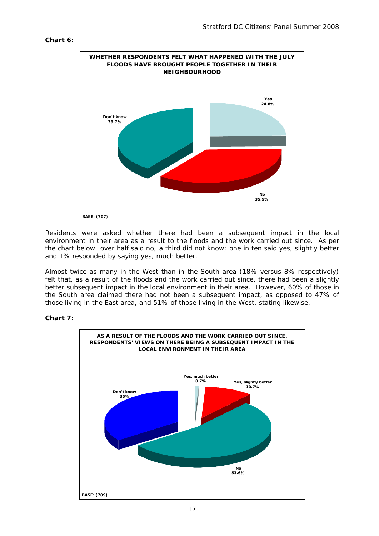#### **Chart 6:**



Residents were asked whether there had been a subsequent impact in the local environment in their area as a result to the floods and the work carried out since. As per the chart below: over half said no; a third did not know; one in ten said yes, slightly better and 1% responded by saying yes, much better.

Almost twice as many in the West than in the South area (18% versus 8% respectively) felt that, as a result of the floods and the work carried out since, there had been a slightly better subsequent impact in the local environment in their area. However, 60% of those in the South area claimed there had not been a subsequent impact, as opposed to 47% of those living in the East area, and 51% of those living in the West, stating likewise.

#### **Chart 7:**

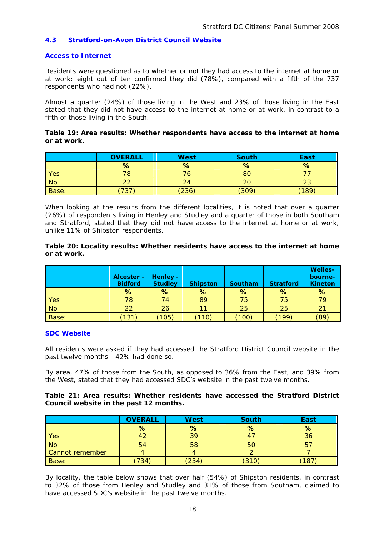#### **4.3 Stratford-on-Avon District Council Website**

#### **Access to Internet**

Residents were questioned as to whether or not they had access to the internet at home or at work: eight out of ten confirmed they did (78%), compared with a fifth of the 737 respondents who had not (22%).

Almost a quarter (24%) of those living in the West and 23% of those living in the East stated that they did not have access to the internet at home or at work, in contrast to a fifth of those living in the South.

#### **Table 19: Area results: Whether respondents have access to the internet at home or at work.**

|                | <b>OVERALL</b> | <b>West</b> | <b>South</b> | East |
|----------------|----------------|-------------|--------------|------|
|                | %              | %           | %            | %    |
| Yes            | 78             | 76          | 80           |      |
| N <sub>o</sub> | າາ             | 24          | 20           | 23   |
| Base:          | 737            | (236)       | (309)        | 189  |

When looking at the results from the different localities, it is noted that over a quarter (26%) of respondents living in Henley and Studley and a quarter of those in both Southam and Stratford, stated that they did not have access to the internet at home or at work, unlike 11% of Shipston respondents.

#### **Table 20: Locality results: Whether residents have access to the internet at home or at work.**

|           | Alcester -<br><b>Bidford</b> | Henley -<br><b>Studley</b> | <b>Shipston</b> | <b>Southam</b> | <b>Stratford</b> | <b>Welles-</b><br>bourne-<br><b>Kineton</b> |
|-----------|------------------------------|----------------------------|-----------------|----------------|------------------|---------------------------------------------|
|           | %                            | %                          | %               | %              | %                | %                                           |
| Yes       | 78                           | 74                         | 89              | 75             | 75               | 79                                          |
| <b>No</b> | 22                           | 26                         | 11              | 25             | 25               | 21                                          |
| Base:     | 131)                         | (105)                      | 110)            | (100)          | [199]            | (89)                                        |

#### **SDC Website**

All residents were asked if they had accessed the Stratford District Council website in the past twelve months - 42% had done so.

By area, 47% of those from the South, as opposed to 36% from the East, and 39% from the West, stated that they had accessed SDC's website in the past twelve months.

#### **Council website in the past 12 months. Table 21: Area results: Whether residents have accessed the Stratford District**

|                        | <b>OVERALL</b> | <b>West</b> | South | East |
|------------------------|----------------|-------------|-------|------|
|                        | %              | %           | %     | %    |
| Yes                    | 42             | 39          | 47    | 36   |
| <b>No</b>              | 54             | 58          | 50    | 5    |
| <b>Cannot remember</b> |                |             |       |      |
| Base:                  | 734            | (234)       | (310) | 18   |

By locality, the table below shows that over half (54%) of Shipston residents, in contrast to 32% of those from Henley and Studley and 31% of those from Southam, claimed to have accessed SDC's website in the past twelve months.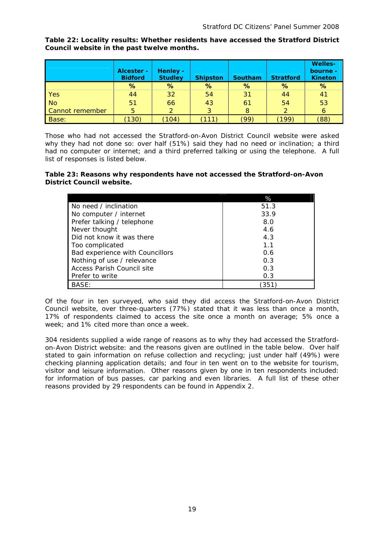**Welles-Alcester - | Henley - | bourne - | bourne - | bourne - | bourne - | bourne - | bourne -Bidford Studley Shipston Southam Stratford Kineton % % % % % %**  Yes | 44 | 32 | 54 | 31 | 44 | 41 No 51 66 43 61 54 53 Cannot remember 5 2 3 8 2 6 Base: (130) (104) (111) (99) (199) (88)

**Table 22: Locality results: Whether residents have accessed the Stratford District Council website in the past twelve months.** 

Those who had not accessed the Stratford-on-Avon District Council website were asked why they had not done so: over half (51%) said they had no need or inclination; a third had no computer or internet; and a third preferred talking or using the telephone. A full list of responses is listed below.

#### **able 23: Reasons why respondents have not accessed the Stratford-on-Avon T District Council website.**

|                                 | %    |
|---------------------------------|------|
| No need / inclination           | 51.3 |
| No computer / internet          | 33.9 |
| Prefer talking / telephone      | 8.0  |
| Never thought                   | 4.6  |
| Did not know it was there       | 4.3  |
| Too complicated                 | 1.1  |
| Bad experience with Councillors | 0.6  |
| Nothing of use / relevance      | 0.3  |
| Access Parish Council site      | 0.3  |
| Prefer to write                 | 0.3  |
| BASE:                           | 351  |

Of the four in ten surveyed, who said they did access the Stratford-on-Avon District Council website, over three-quarters (77%) stated that it was less than once a month, 17% of respondents claimed to access the site once a month on average; 5% once a week; and 1% cited more than once a week.

304 residents supplied a wide range of reasons as to why they had accessed the Stratfordon-Avon District website: and the reasons given are outlined in the table below. Over half stated to gain information on refuse collection and recycling; just under half (49%) were checking planning application details; and four in ten went on to the website for tourism, visitor and leisure information. Other reasons given by one in ten respondents included: for information of bus passes, car parking and even libraries. A full list of these other reasons provided by 29 respondents can be found in Appendix 2.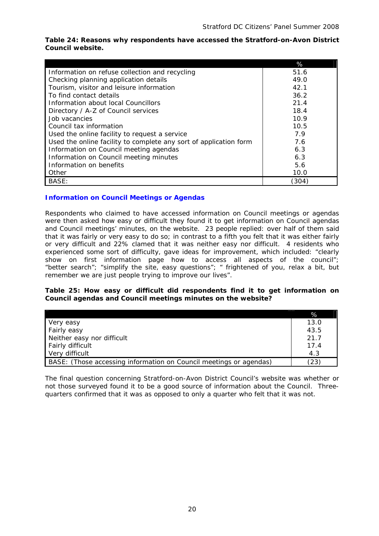|                                                                   | %     |
|-------------------------------------------------------------------|-------|
| Information on refuse collection and recycling                    | 51.6  |
| Checking planning application details                             | 49.0  |
| Tourism, visitor and leisure information                          | 42.1  |
| To find contact details                                           | 36.2  |
| Information about local Councillors                               | 21.4  |
| Directory / A-Z of Council services                               | 18.4  |
| Job vacancies                                                     | 10.9  |
| Council tax information                                           | 10.5  |
| Used the online facility to request a service                     | 7.9   |
| Used the online facility to complete any sort of application form | 7.6   |
| Information on Council meeting agendas                            | 6.3   |
| Information on Council meeting minutes                            | 6.3   |
| Information on benefits                                           | 5.6   |
| Other                                                             | 10.0  |
| BASE:                                                             | (304) |

#### **Table 24: Reasons why respondents have accessed the Stratford-on-Avon District Council website.**

#### **Information on Council Meetings or Agendas**

Respondents who claimed to have accessed information on Council meetings or agendas were then asked how easy or difficult they found it to get information on Council agendas and Council meetings' minutes, on the website. 23 people replied: over half of them said that it was fairly or very easy to do so; in contrast to a fifth you felt that it was either fairly or very difficult and 22% clamed that it was neither easy nor difficult. 4 residents who experienced some sort of difficulty, gave ideas for improvement, which included: "clearly show on first information page how to access all aspects of the council"; "better search"; "simplify the site, easy questions"; " frightened of you, relax a bit, but remember we are just people trying to improve our lives".

#### Table 25: How easy or difficult did respondents find it to get information on Council agendas and Council meetings minutes on the website?

|                                                                    | %    |
|--------------------------------------------------------------------|------|
| Very easy                                                          | 13.0 |
| <b>Fairly easy</b>                                                 | 43.5 |
| Neither easy nor difficult                                         | 21.7 |
| <b>Fairly difficult</b>                                            | 17.4 |
| Very difficult                                                     | 4.3  |
| BASE: (Those accessing information on Council meetings or agendas) | ′23. |

The final question concerning Stratford-on-Avon District Council's website was whether or not those surveyed found it to be a good source of information about the Council. Threequarters confirmed that it was as opposed to only a quarter who felt that it was not.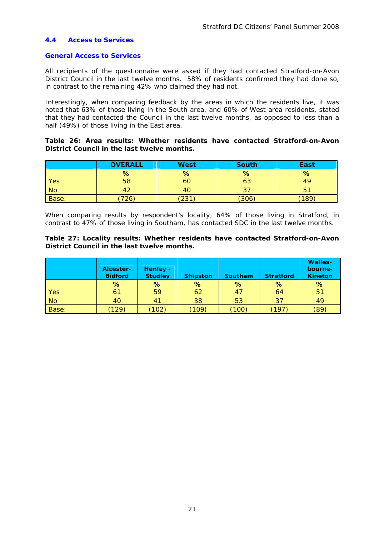#### **4.4 Access to Services**

#### **General Access to Services**

All recipients of the questionnaire were asked if they had contacted Stratford-on-Avon District Council in the last twelve months. 58% of residents confirmed they had done so, in contrast to the remaining 42% who claimed they had not.

half (49%) of those living in the East area. Interestingly, when comparing feedback by the areas in which the residents live, it was noted that 63% of those living in the South area, and 60% of West area residents, stated that they had contacted the Council in the last twelve months, as opposed to less than a

#### **Table 26: Area results: Whether residents have contacted Stratford-on-Avon District Council in the last twelve months.**

|           | <b>OVERALL</b> | <b>West</b> | <b>South</b> | East |
|-----------|----------------|-------------|--------------|------|
|           | %              | %           | %            | %    |
| Yes       | 58             | 60          | 63           | 49   |
| <b>No</b> |                | 40          | $\cdot$      | b    |
| Base:     | 726,           | 231         | (306)        | 189  |

When comparing results by respondent's locality, 64% of those living in Stratford, in contrast to 47% of those living in Southam, has contacted SDC in the last twelve months.

#### **Table 27: Locality results: Whether residents have contacted Stratford-on-Avon District Council in the last twelve months.**

|              | <b>Alcester-</b><br><b>Bidford</b> | <b>Henley -</b><br><b>Studley</b> | <b>Shipston</b>  | <b>Southam</b> | <b>Stratford</b> | <b>Welles-</b><br>bourne-<br><b>Kineton</b> |
|--------------|------------------------------------|-----------------------------------|------------------|----------------|------------------|---------------------------------------------|
|              | %                                  | %                                 | %                | %              | %                | %                                           |
| <b>Yes</b>   | 61                                 | 59                                | 62               | 47             | 64               | 51                                          |
| No           | 40                                 | 41                                | 38               | 53             | 37               | 49                                          |
| <b>Base:</b> | 129)                               | 102)                              | $^{\prime}$ 109) | (100)          | 197              | (89                                         |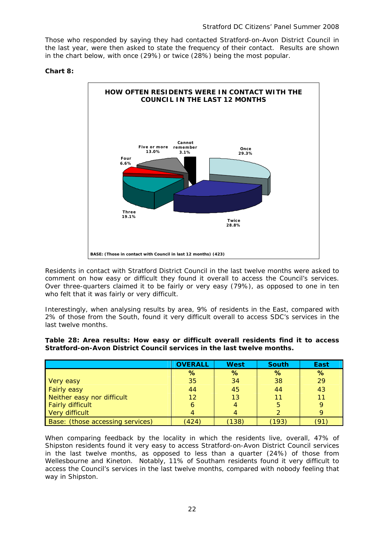Those who responded by saying they had contacted Stratford-on-Avon District Council in the last year, were then asked to state the frequency of their contact. Results are shown in the chart below, with once (29%) or twice (28%) being the most popular.

#### **Chart 8:**



Residents in contact with Stratford District Council in the last twelve months were asked to comment on how easy or difficult they found it overall to access the Council's services. Over three-quarters claimed it to be fairly or very easy (79%), as opposed to one in ten who felt that it was fairly or very difficult.

Interestingly, when analysing results by area, 9% of residents in the East, compared with 2% of those from the South, found it very difficult overall to access SDC's services in the last twelve months.

| Table 28: Area results: How easy or difficult overall residents find it to access |  |  |  |  |  |  |
|-----------------------------------------------------------------------------------|--|--|--|--|--|--|
| Stratford-on-Avon District Council services in the last twelve months.            |  |  |  |  |  |  |

|                                  | <b>OVERALL</b> | <b>West</b> | <b>South</b> | East |
|----------------------------------|----------------|-------------|--------------|------|
|                                  | %              | %           | %            | %    |
| Very easy                        | 35             | 34          | 38           | 29   |
| <b>Fairly easy</b>               | 44             | 45          | 44           | 43   |
| Neither easy nor difficult       | 12             | 13          | 11           |      |
| <b>Fairly difficult</b>          | 6              |             | 5            |      |
| Very difficult                   |                |             |              |      |
| Base: (those accessing services) | (424)          | (138)       | (193         |      |

When comparing feedback by the locality in which the residents live, overall, 47% of Shipston residents found it very easy to access Stratford-on-Avon District Council services in the last twelve months, as opposed to less than a quarter  $(24%)$  of those from Wellesbourne and Kineton. Notably, 11% of Southam residents found it very difficult to access the Council's services in the last twelve months, compared with nobody feeling that way in Shipston.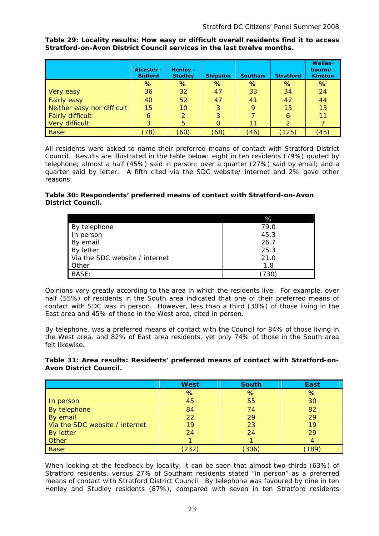**Table 29: Locality results: How easy or difficult overall residents find it to access Stratford-on-Avon District Council services in the last twelve months.** 

|                            | Alcester -<br><b>Bidford</b> | Henley -<br><b>Studley</b> | <b>Shipston</b> | <b>Southam</b> | <b>Stratford</b> | <b>Welles-</b><br>bourne -<br><b>Kineton</b> |
|----------------------------|------------------------------|----------------------------|-----------------|----------------|------------------|----------------------------------------------|
|                            | %                            | %                          | %               | %              | %                | %                                            |
| Very easy                  | 36                           | 32                         | 47              | 33             | 34               | 24                                           |
| <b>Fairly easy</b>         | 40                           | 52                         | 47              | 41             | 42               | 44                                           |
| Neither easy nor difficult | 15                           | 10                         | 3               | 9              | 15               | 13                                           |
| <b>Fairly difficult</b>    | 6                            |                            | 3               |                | 6                | 11                                           |
| Very difficult             | 3                            | 5                          |                 | 11             | 2                |                                              |
| <b>Base:</b>               | (78)                         | (60)                       | (68)            | (46)           | (125)            | (45)                                         |

All residents were asked to name their preferred means of contact with Stratford District Council. Results are illustrated in the table below: eight in ten residents (79%) quoted by telephone; almost a half (45%) said in person; over a quarter (27%) said by email; and a quarter said by letter. A fifth cited via the SDC website/ internet and 2% gave other reasons.

#### **Table 30: Respondents' preferred means of contact with Stratford-on-Avon District Council.**

|                                | %    |
|--------------------------------|------|
| By telephone                   | 79.0 |
| In person                      | 45.3 |
| By email                       | 26.7 |
| By letter                      | 25.3 |
| Via the SDC website / internet | 21.0 |
| Other                          | 1.8  |
| BASE:                          | 730  |

Opinions vary greatly according to the area in which the residents live. For example, over half (55%) of residents in the South area indicated that one of their preferred means of contact with SDC was in person. However, less than a third (30%) of those living in the East area and 45% of those in the West area, cited in person.

By telephone, was a preferred means of contact with the Council for 84% of those living in the West area, and 82% of East area residents, yet only 74% of those in the South area felt likewise.

Table 31: Area results: Residents' preferred means of contact with Stratford-on-**Avon District Council.** 

|                                | <b>West</b> | <b>South</b> | <b>East</b> |
|--------------------------------|-------------|--------------|-------------|
|                                | %           | %            | %           |
| In person                      | 45          | 55           | 30          |
| By telephone                   | 84          | 74           | 82          |
| By email                       | 22          | 29           | 29          |
| Via the SDC website / internet | 19          | 23           | 19          |
| <b>By letter</b>               | 24          | 24           | 29          |
| Other                          |             |              |             |
| Base:                          | (232)       | (306)        | 189         |

When looking at the feedback by locality, it can be seen that almost two-thirds (63%) of Stratford residents, versus 27% of Southam residents stated "in person" as a preferred means of contact with Stratford District Council. By telephone was favoured by nine in ten Henley and Studley residents (87%), compared with seven in ten Stratford residents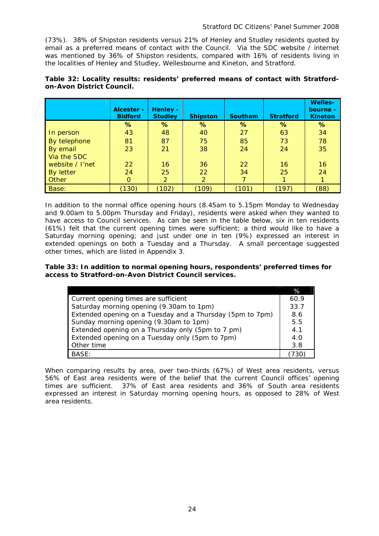(73%). 38% of Shipston residents versus 21% of Henley and Studley residents quoted by email as a preferred means of contact with the Council. Via the SDC website / internet was mentioned by 36% of Shipston residents, compared with 16% of residents living in the localities of Henley and Studley, Wellesbourne and Kineton, and Stratford.

|                 | Alcester -<br><b>Bidford</b> | <b>Henley -</b><br><b>Studley</b> | <b>Shipston</b> | <b>Southam</b> | <b>Stratford</b> | <b>Welles-</b><br>bourne -<br><b>Kineton</b> |
|-----------------|------------------------------|-----------------------------------|-----------------|----------------|------------------|----------------------------------------------|
|                 | %                            | %                                 | %               | %              | $\%$             | %                                            |
| In person       | 43                           | 48                                | 40              | 27             | 63               | 34                                           |
| By telephone    | 81                           | 87                                | 75              | 85             | 73               | 78                                           |
| By email        | 23                           | 21                                | 38              | 24             | 24               | 35                                           |
| Via the SDC     |                              |                                   |                 |                |                  |                                              |
| website / I'net | 22                           | 16                                | 36              | 22             | 16               | 16                                           |
| By letter       | 24                           | 25                                | 22              | 34             | 25               | 24                                           |
| Other           |                              | 2                                 | 2               |                |                  |                                              |
| Base:           | (130)                        | (102)                             | (109)           | (101)          | (197)            | (88)                                         |

#### Table 32: Locality results: residents' preferred means of contact with Stratford**on-Avon District Council.**

In addition to the normal office opening hours (8.45am to 5.15pm Monday to Wednesday and 9.00am to 5.00pm Thursday and Friday), residents were asked when they wanted to have access to Council services. As can be seen in the table below, six in ten residents  $(61%)$  felt that the current opening times were sufficient; a third would like to have a Saturday morning opening; and just under one in ten (9%) expressed an interest in extended openings on both a Tuesday and a Thursday. A small percentage suggested other times, which are listed in Appendix 3.

Table 33: In addition to normal opening hours, respondents' preferred times for access to Stratford-on-Avon District Council services.

|                                                           | %    |
|-----------------------------------------------------------|------|
| Current opening times are sufficient                      | 60.9 |
| Saturday morning opening (9.30am to 1pm)                  | 33.7 |
| Extended opening on a Tuesday and a Thursday (5pm to 7pm) | 8.6  |
| Sunday morning opening (9.30am to 1pm)                    | 5.5  |
| Extended opening on a Thursday only (5pm to 7 pm)         | 4.1  |
| Extended opening on a Tuesday only (5pm to 7pm)           | 4.0  |
| Other time                                                | 3.8  |
| BASE:                                                     |      |

When comparing results by area, over two-thirds (67%) of West area residents, versus 56% of East area residents were of the belief that the current Council offices' opening times are sufficient. 37% of East area residents and 36% of South area residents expressed an interest in Saturday morning opening hours, as opposed to 28% of West area residents.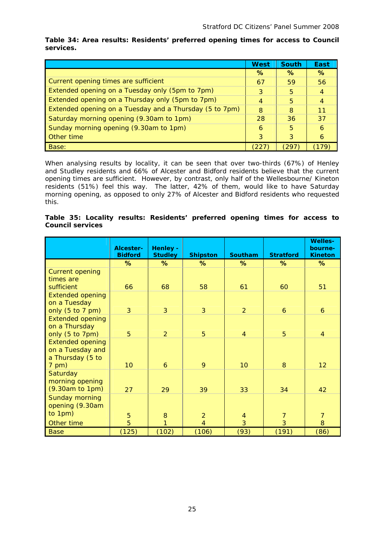|                                                         | <b>West</b> | <b>South</b> | East |
|---------------------------------------------------------|-------------|--------------|------|
|                                                         | ℅           | %            | $\%$ |
| Current opening times are sufficient                    | 67          | 59           | 56   |
| Extended opening on a Tuesday only (5pm to 7pm)         | 3           | 5            |      |
| Extended opening on a Thursday only (5pm to 7pm)        |             | 5            |      |
| Extended opening on a Tuesday and a Thursday (5 to 7pm) | 8           | 8            | 11   |
| Saturday morning opening (9.30am to 1pm)                | 28          | 36           | 37   |
| Sunday morning opening (9.30am to 1pm)                  | 6           | 5            | 6    |
| Other time                                              | 3           | 3            | 6    |
| Base:                                                   |             | 1297         |      |

**Table 34: Area results: Residents' preferred opening times for access to Council services.** 

When analysing results by locality, it can be seen that over two-thirds (67%) of Henley and Studley residents and 66% of Alcester and Bidford residents believe that the current opening times are sufficient. However, by contrast, only half of the Wellesbourne/ Kineton residents (51%) feel this way. The latter, 42% of them, would like to have Saturday morning opening, as opposed to only 27% of Alcester and Bidford residents who requested this.

#### **Table 35: Locality results: Residents' preferred opening times for access to Council services**

|                                                                   | Alcester-<br><b>Bidford</b> | <b>Henley -</b><br><b>Studley</b> | <b>Shipston</b>                  | <b>Southam</b>        | <b>Stratford</b>                 | <b>Welles-</b><br>bourne-<br><b>Kineton</b> |
|-------------------------------------------------------------------|-----------------------------|-----------------------------------|----------------------------------|-----------------------|----------------------------------|---------------------------------------------|
|                                                                   | ℅                           | %                                 | %                                | %                     | ℅                                | %                                           |
| <b>Current opening</b><br>times are<br>sufficient                 | 66                          | 68                                | 58                               | 61                    | 60                               | 51                                          |
| <b>Extended opening</b><br>on a Tuesday<br>only $(5 to 7 pm)$     | $\overline{3}$              | $\overline{3}$                    | $\overline{3}$                   | $\overline{2}$        | $\ddot{\mathbf{6}}$              | 6                                           |
| <b>Extended opening</b><br>on a Thursday<br>only (5 to 7pm)       | 5                           | 2                                 | $\overline{5}$                   | $\overline{4}$        | 5                                | $\overline{4}$                              |
| <b>Extended opening</b><br>on a Tuesday and<br>a Thursday (5 to   |                             |                                   |                                  |                       |                                  |                                             |
| $7$ pm)<br>Saturday<br>morning opening<br>(9.30am to 1pm)         | 10 <sup>°</sup><br>27       | 6<br>29                           | 9<br>39                          | 10 <sup>°</sup><br>33 | 8<br>34                          | 12 <sup>2</sup><br>42                       |
| <b>Sunday morning</b><br>opening (9.30am<br>to 1pm)<br>Other time | 5<br>5                      | 8<br>1                            | $\overline{2}$<br>$\overline{4}$ | $\overline{4}$<br>3   | $\overline{7}$<br>$\overline{3}$ | $\overline{7}$<br>8                         |
| <b>Base</b>                                                       | (125)                       | (102)                             | (106)                            | (93)                  | (191)                            | (86)                                        |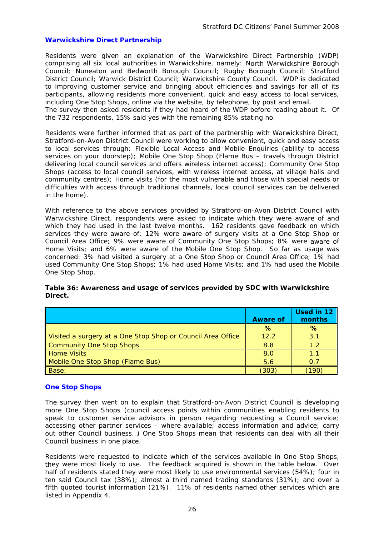#### **Warwickshire Direct Partnership**

Residents were given an explanation of the Warwickshire Direct Partnership (WDP) comprising all six local authorities in Warwickshire, namely: North Warwickshire Borough Council; Nuneaton and Bedworth Borough Council; Rugby Borough Council; Stratford District Council; Warwick District Council; Warwickshire County Council. WDP is dedicated to improving customer service and bringing about efficiencies and savings for all of its participants, allowing residents more convenient, quick and easy access to local services, including One Stop Shops, online via the website, by telephone, by post and email.

The survey then asked residents if they had heard of the WDP before reading about it. Of the 732 respondents, 15% said yes with the remaining 85% stating no.

Residents were further informed that as part of the partnership with Warwickshire Direct, Stratford-on-Avon District Council were working to allow convenient, quick and easy access to local services through: Flexible Local Access and Mobile Enquiries (ability to access services on your doorstep); Mobile One Stop Shop (Flame Bus - travels through District delivering local council services and offers wireless internet access); Community One Stop Shops (access to local council services, with wireless internet access, at village halls and community centres); Home visits (for the most vulnerable and those with special needs or difficulties with access through traditional channels, local council services can be delivered in the home).

With reference to the above services provided by Stratford-on-Avon District Council with which they had used in the last twelve months. 162 residents gave feedback on which services they were aware of: 12% were aware of surgery visits at a One Stop Shop or Council Area Office; 9% were aware of Community One Stop Shops; 8% were aware of Home Visits; and 6% were aware of the Mobile One Stop Shop. So far as usage was concerned: 3% had visited a surgery at a One Stop Shop or Council Area Office; 1% had used Community One Stop Shops; 1% had used Home Visits; and 1% had used the Mobile O ne Stop Shop. Warwickshire Direct, respondents were asked to indicate which they were aware of and

|                                                             | <b>Aware of</b> | Used in 12<br>months |
|-------------------------------------------------------------|-----------------|----------------------|
|                                                             | $\%$            | ℅                    |
| Visited a surgery at a One Stop Shop or Council Area Office | 122             | 3.1                  |
| <b>Community One Stop Shops</b>                             | 8.8             | 1.2                  |
| <b>Home Visits</b>                                          | 8.0             | 1.1                  |
| Mobile One Stop Shop (Flame Bus)                            | 5.6             | 0.7                  |
| Base:                                                       | (303)           | 190                  |

**Table 36: Awareness and usage of services provided by SDC with Warwickshire D irect.**

#### **O ne Stop Shops**

The survey then went on to explain that Stratford-on-Avon District Council is developing more One Stop Shops (council access points within communities enabling residents to speak to customer service advisors in person regarding requesting a Council service; accessing other partner services – where available; access information and advice; carry out other Council business...) One Stop Shops mean that residents can deal with all their Council business in one place.

Residents were requested to indicate which of the services available in One Stop Shops, they were most likely to use. The feedback acquired is shown in the table below. Over half of residents stated they were most likely to use environmental services (54%); four in ten said Council tax (38%); almost a third named trading standards (31%); and over a fifth quoted tourist information (21%). 11% of residents named other services which are listed in Appendix 4.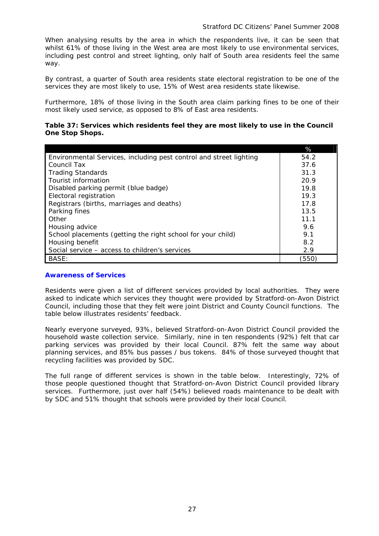When analysing results by the area in which the respondents live, it can be seen that whilst 61% of those living in the West area are most likely to use environmental services, including pest control and street lighting, only half of South area residents feel the same way.

By contrast, a quarter of South area residents state electoral registration to be one of the services they are most likely to use, 15% of West area residents state likewise.

Furthermore, 18% of those living in the South area claim parking fines to be one of their most likely used service, as opposed to 8% of East area residents.

#### **able 37: Services which residents feel they are most likely to use in the Council T One Stop Shops.**

|                                                                    | %     |
|--------------------------------------------------------------------|-------|
| Environmental Services, including pest control and street lighting | 54.2  |
| Council Tax                                                        | 37.6  |
| <b>Trading Standards</b>                                           | 31.3  |
| Tourist information                                                | 20.9  |
| Disabled parking permit (blue badge)                               | 19.8  |
| Electoral registration                                             | 19.3  |
| Registrars (births, marriages and deaths)                          | 17.8  |
| Parking fines                                                      | 13.5  |
| Other                                                              | 11.1  |
| Housing advice                                                     | 9.6   |
| School placements (getting the right school for your child)        | 9.1   |
| Housing benefit                                                    | 8.2   |
| Social service – access to children's services                     | 2.9   |
| BASE:                                                              | (550) |

#### **Awareness of Services**

Residents were given a list of different services provided by local authorities. They were asked to indicate which services they thought were provided by Stratford-on-Avon District Council, including those that they felt were joint District and County Council functions. The table below illustrates residents' feedback.

Nearly everyone surveyed, 93%, believed Stratford-on-Avon District Council provided the household waste collection service. Similarly, nine in ten respondents (92%) felt that car parking services was provided by their local Council. 87% felt the same way about planning services, and 85% bus passes / bus tokens. 84% of those surveyed thought that recycling facilities was provided by SDC.

The full range of different services is shown in the table below. Interestingly, 72% of those people questioned thought that Stratford-on-Avon District Council provided library services. Furthermore, just over half (54%) believed roads maintenance to be dealt with by SDC and 51% thought that schools were provided by their local Council.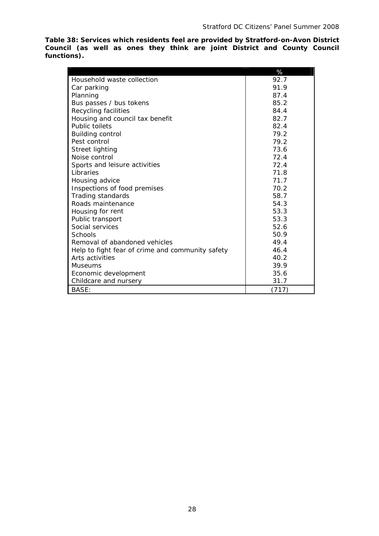**Table 38: Services which residents feel are provided by Stratford-on-Avon District Council (as well as ones they think are joint District and County Council functions).** 

|                                                  | %     |
|--------------------------------------------------|-------|
| Household waste collection                       | 92.7  |
| Car parking                                      | 91.9  |
| Planning                                         | 87.4  |
| Bus passes / bus tokens                          | 85.2  |
| Recycling facilities                             | 84.4  |
| Housing and council tax benefit                  | 82.7  |
| Public toilets                                   | 82.4  |
| <b>Building control</b>                          | 79.2  |
| Pest control                                     | 79.2  |
| <b>Street lighting</b>                           | 73.6  |
| Noise control                                    | 72.4  |
| Sports and leisure activities                    | 72.4  |
| <b>Libraries</b>                                 | 71.8  |
| Housing advice                                   | 71.7  |
| Inspections of food premises                     | 70.2  |
| Trading standards                                | 58.7  |
| Roads maintenance                                | 54.3  |
| Housing for rent                                 | 53.3  |
| Public transport                                 | 53.3  |
| Social services                                  | 52.6  |
| Schools                                          | 50.9  |
| Removal of abandoned vehicles                    | 49.4  |
| Help to fight fear of crime and community safety | 46.4  |
| Arts activities                                  | 40.2  |
| Museums                                          | 39.9  |
| Economic development                             | 35.6  |
| Childcare and nursery                            | 31.7  |
| BASE:                                            | (717) |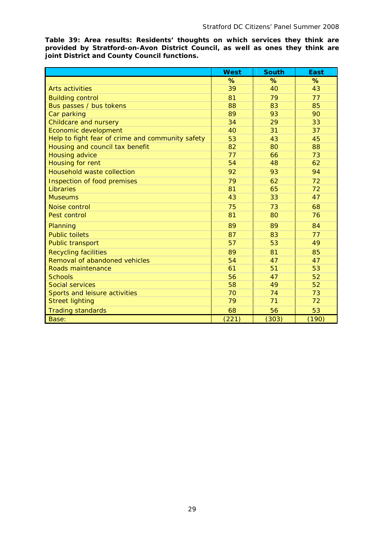**Table 39: Area results: Residents' thoughts on which services they think are provided by Stratford-on-Avon District Council, as well as ones they think are joint District and County Council functions.** 

|                                                  | <b>West</b> | <b>South</b> | <b>East</b> |
|--------------------------------------------------|-------------|--------------|-------------|
|                                                  | %           | %            | %           |
| <b>Arts activities</b>                           | 39          | 40           | 43          |
| <b>Building control</b>                          | 81          | 79           | 77          |
| Bus passes / bus tokens                          | 88          | 83           | 85          |
| Car parking                                      | 89          | 93           | 90          |
| Childcare and nursery                            | 34          | 29           | 33          |
| Economic development                             | 40          | 31           | 37          |
| Help to fight fear of crime and community safety | 53          | 43           | 45          |
| Housing and council tax benefit                  | 82          | 80           | 88          |
| <b>Housing advice</b>                            | 77          | 66           | 73          |
| Housing for rent                                 | 54          | 48           | 62          |
| <b>Household waste collection</b>                | 92          | 93           | 94          |
| Inspection of food premises                      | 79          | 62           | 72          |
| Libraries                                        | 81          | 65           | 72          |
| <b>Museums</b>                                   | 43          | 33           | 47          |
| Noise control                                    | 75          | 73           | 68          |
| Pest control                                     | 81          | 80           | 76          |
| Planning                                         | 89          | 89           | 84          |
| <b>Public toilets</b>                            | 87          | 83           | 77          |
| <b>Public transport</b>                          | 57          | 53           | 49          |
| <b>Recycling facilities</b>                      | 89          | 81           | 85          |
| Removal of abandoned vehicles                    | 54          | 47           | 47          |
| Roads maintenance                                | 61          | 51           | 53          |
| <b>Schools</b>                                   | 56          | 47           | 52          |
| <b>Social services</b>                           | 58          | 49           | 52          |
| Sports and leisure activities                    | 70          | 74           | 73          |
| <b>Street lighting</b>                           | 79          | 71           | 72          |
| <b>Trading standards</b>                         | 68          | 56           | 53          |
| Base:                                            | (221)       | (303)        | (190)       |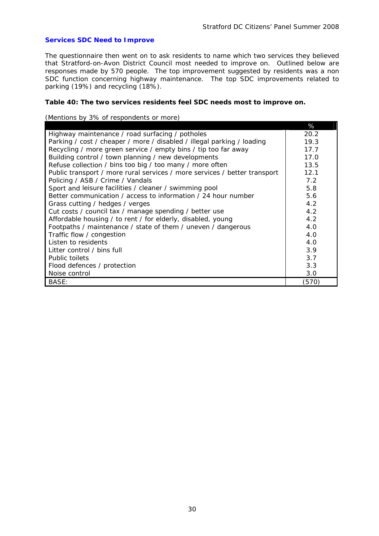#### **Services SDC Need to Improve**

The questionnaire then went on to ask residents to name which two services they believed that Stratford-on-Avon District Council most needed to improve on. Outlined below are responses made by 570 people. The top improvement suggested by residents was a non SDC function concerning highway maintenance. The top SDC improvements related to parking (19%) and recycling (18%).

#### Table 40: The two services residents feel SDC needs most to improve on.

#### (Mentions by 3% of respondents or more)

|                                                                           | %     |
|---------------------------------------------------------------------------|-------|
| Highway maintenance / road surfacing / potholes                           | 20.2  |
| Parking / cost / cheaper / more / disabled / illegal parking / loading    | 19.3  |
| Recycling / more green service / empty bins / tip too far away            | 17.7  |
| Building control / town planning / new developments                       | 17.0  |
| Refuse collection / bins too big / too many / more often                  | 13.5  |
| Public transport / more rural services / more services / better transport | 12.1  |
| Policing / ASB / Crime / Vandals                                          | 7.2   |
| Sport and leisure facilities / cleaner / swimming pool                    | 5.8   |
| Better communication / access to information / 24 hour number             | 5.6   |
| Grass cutting / hedges / verges                                           | 4.2   |
| Cut costs / council tax / manage spending / better use                    | 4.2   |
| Affordable housing / to rent / for elderly, disabled, young               | 4.2   |
| Footpaths / maintenance / state of them / uneven / dangerous              | 4.0   |
| Traffic flow / congestion                                                 | 4.0   |
| Listen to residents                                                       | 4.0   |
| Litter control / bins full                                                | 3.9   |
| Public toilets                                                            | 3.7   |
| Flood defences / protection                                               | 3.3   |
| Noise control                                                             | 3.0   |
| BASE:                                                                     | (570) |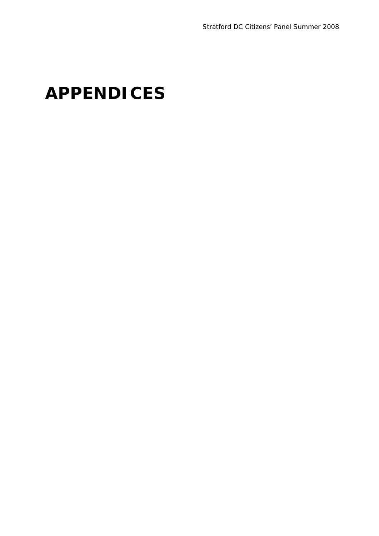# **APPENDICES**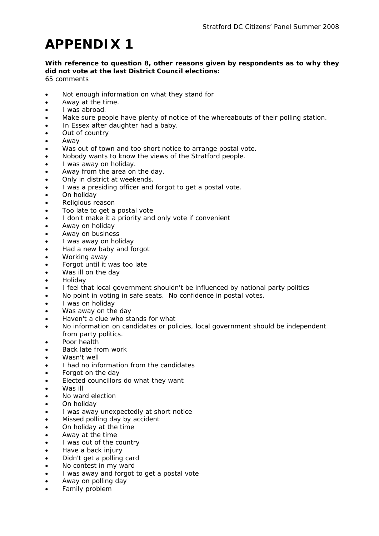### With reference to question 8, other reasons given by respondents as to why they did not vote at the last District Council elections:

- Not enough information on what they stand for
- Away at the time.
- I was abroad.
- Make sure people have plenty of notice of the whereabouts of their polling station.
- In Essex after daughter had a baby.
- Out of country
- Away
- Was out of town and too short notice to arrange postal vote.
- Nobody wants to know the views of the Stratford people.
- I was away on holiday.
- Away from the area on the day.
- Only in district at weekends.
- I was a presiding officer and forgot to get a postal vote.
- On holiday
- Religious reason
- Too late to get a postal vote
- I don't make it a priority and only vote if convenient
- Away on holiday
- Away on business
- I was away on holiday
- Had a new baby and forgot
- Working away
- Forgot until it was too late
- Was ill on the day
- Holiday
- I feel that local government shouldn't be influenced by national party politics
- No point in voting in safe seats. No confidence in postal votes.
- I was on holiday
- Was away on the day
- Haven't a clue who stands for what
- No information on candidates or policies, local government should be independent from party politics.
- Poor health
- Back late from work
- Wasn't well
- I had no information from the candidates
- Forgot on the day
- Elected councillors do what they want
- Was ill
- No ward election
- On holiday
- I was away unexpectedly at short notice
- Missed polling day by accident
- On holiday at the time
- Away at the time
- I was out of the country
- Have a back injury
- Didn't get a polling card
- No contest in my ward
- I was away and forgot to get a postal vote
- Away on polling day
- Family problem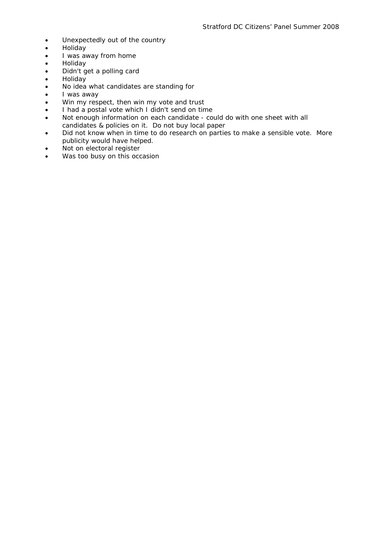- Unexpectedly out of the country
- Holiday
- I was away from home
- Holiday
- Didn't get a polling card
- Holiday
- No idea what candidates are standing for
- I was away
- Win my respect, then win my vote and trust
- I had a postal vote which I didn't send on time
- Not enough information on each candidate could do with one sheet with all candidates & policies on it. Do not buy local paper
- Did not know when in time to do research on parties to make a sensible vote. More publicity would have helped.
- Not on electoral register
- Was too busy on this occasion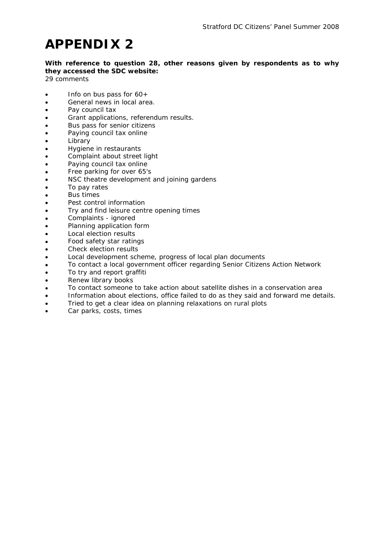**With reference to question 28, other reasons given by respondents as to why they accessed the SDC website:** 

- Info on bus pass for  $60+$
- General news in local area.
- Pay council tax
- Grant applications, referendum results.
- Bus pass for senior citizens
- Paying council tax online
- Library
- Hygiene in restaurants
- Complaint about street light
- Paying council tax online •
- Free parking for over 65's •
- NSC theatre development and joining gardens •
- To pay rates •
- Bus times •
- Pest control information •
- Try and find leisure centre opening times •
- Complaints ignored •
- Planning application form •
- Local election results •
- Food safety star ratings •
- Check election results •
- Local development scheme, progress of local plan documents •
- To contact a local government officer regarding Senior Citizens Action Network •
- To try and report graffiti •
- Renew library books •
- To contact someone to take action about satellite dishes in a conservation area •
- Information about elections, office failed to do as they said and forward me details. •
- Tried to get a clear idea on planning relaxations on rural plots •
- Car parks, costs, times •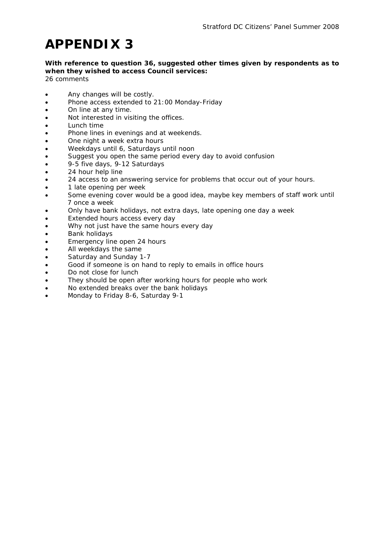### **With reference to question 36, suggested other times given by respondents as to when they wished to access Council services:**

- Any changes will be costly.
- Phone access extended to 21:00 Monday-Friday
- On line at any time.
- Not interested in visiting the offices.
- Lunch time
- Phone lines in evenings and at weekends.
- One night a week extra hours
- Weekdays until 6, Saturdays until noon
- Suggest you open the same period every day to avoid confusion
- 9-5 five days, 9-12 Saturdays
- 24 hour help line
- 24 access to an answering service for problems that occur out of your hours.
- 1 late opening per week
- Some evening cover would be a good idea, maybe key members of staff work until 7 once a week
- Only have bank holidays, not extra days, late opening one day a week
- Extended hours access every day
- Why not just have the same hours every day
- Bank holidays
- Emergency line open 24 hours
- All weekdays the same
- Saturday and Sunday 1-7
- Good if someone is on hand to reply to emails in office hours
- Do not close for lunch
- They should be open after working hours for people who work
- No extended breaks over the bank holidays
- Monday to Friday 8-6, Saturday 9-1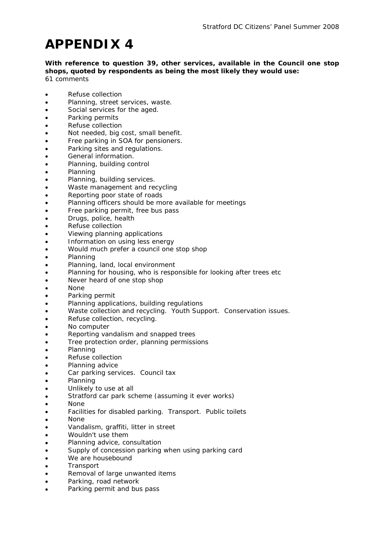**With reference to question 39, other services, available in the Council one stop shops, quoted by respondents as being the most likely they would use:**  *61 comments* 

- Refuse collection
- Planning, street services, waste.
- Social services for the aged.
- Parking permits
- Refuse collection
- Not needed, big cost, small benefit.
- Free parking in SOA for pensioners.
- Parking sites and regulations.
- General information.
- Planning, building control
- Planning
- Planning, building services.
- Waste management and recycling
- Reporting poor state of roads
- Planning officers should be more available for meetings
- Free parking permit, free bus pass
- Drugs, police, health
- Refuse collection
- Viewing planning applications
- Information on using less energy
- Would much prefer a council one stop shop
- Planning
- Planning, land, local environment
- Planning for housing, who is responsible for looking after trees etc
- Never heard of one stop shop
- None
- Parking permit
- Planning applications, building regulations •
- Waste collection and recycling. Youth Support. Conservation issues. •
- Refuse collection, recycling. •
- No computer •
- Reporting vandalism and snapped trees •
- Tree protection order, planning permissions •
- Planning •
- Refuse collection •
- Planning advice •
- Car parking services. Council tax •
- Planning •
- Unlikely to use at all •
- Stratford car park scheme (assuming it ever works) •
- None •
- Facilities for disabled parking. Transport. Public toilets •
- None •
- Vandalism, graffiti, litter in street •
- Wouldn't use them •
- Planning advice, consultation •
- Supply of concession parking when using parking card •
- We are housebound •
- **Transport** •
- Removal of large unwanted items •
- Parking, road network •
- Parking permit and bus pass •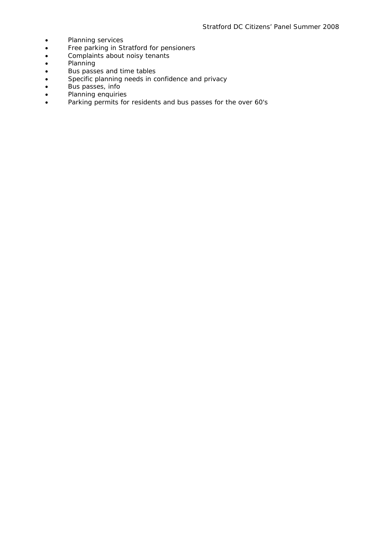- Planning services<br>• Free parking in St
- Free parking in Stratford for pensioners
- Complaints about noisy tenants •
- Planning
- Bus passes and time tables
- Specific planning needs in confidence and privacy
- Bus passes, info •
- Planning enquiries
- Parking permits for residents and bus passes for the over 60's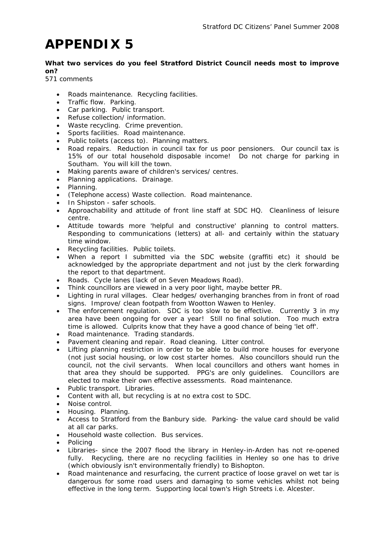#### **What two services do you feel Stratford District Council needs most to improve ? on**

- Roads maintenance. Recycling facilities.
- Traffic flow. Parking.
- Car parking. Public transport.
- Refuse collection/ information.
- Waste recycling. Crime prevention.
- Sports facilities. Road maintenance.
- Public toilets (access to). Planning matters.
- Road repairs. Reduction in council tax for us poor pensioners. Our council tax is 15% of our total household disposable income! Do not charge for parking in Southam. You will kill the town.
- Making parents aware of children's services/ centres.
- Planning applications. Drainage.
- Planning.
- (Telephone access) Waste collection. Road maintenance.
- In Shipston safer schools.
- Approachability and attitude of front line staff at SDC HQ. Cleanliness of leisure centre.
- Attitude towards more 'helpful and constructive' planning to control matters. Responding to communications (letters) at all- and certainly within the statuary time window.
- Recycling facilities. Public toilets.
- When a report I submitted via the SDC website (graffiti etc) it should be acknowledged by the appropriate department and not just by the clerk forwarding the report to that department.
- Roads. Cycle lanes (lack of on Seven Meadows Road).
- Think councillors are viewed in a very poor light, maybe better PR.
- Lighting in rural villages. Clear hedges/ overhanging branches from in front of road signs. Improve/ clean footpath from Wootton Wawen to Henley.
- The enforcement regulation. SDC is too slow to be effective. Currently 3 in my area have been ongoing for over a year! Still no final solution. Too much extra time is allowed. Culprits know that they have a good chance of being 'let off'.
- Road maintenance. Trading standards.
- Pavement cleaning and repair. Road cleaning. Litter control.
- Lifting planning restriction in order to be able to build more houses for everyone (not just social housing, or low cost starter homes. Also councillors should run the council, not the civil servants. When local councillors and others want homes in that area they should be supported. PPG's are only guidelines. Councillors are elected to make their own effective assessments. Road maintenance.
- Public transport. Libraries.
- Content with all, but recycling is at no extra cost to SDC.
- Noise control.
- Housing. Planning.
- Access to Stratford from the Banbury side. Parking- the value card should be valid at all car parks.
- Household waste collection. Bus services.
- Policing
- Libraries- since the 2007 flood the library in Henley-in-Arden has not re-opened fully. Recycling, there are no recycling facilities in Henley so one has to drive (which obviously isn't environmentally friendly) to Bishopton.
- Road maintenance and resurfacing, the current practice of loose gravel on wet tar is dangerous for some road users and damaging to some vehicles whilst not being effective in the long term. Supporting local town's High Streets i.e. Alcester.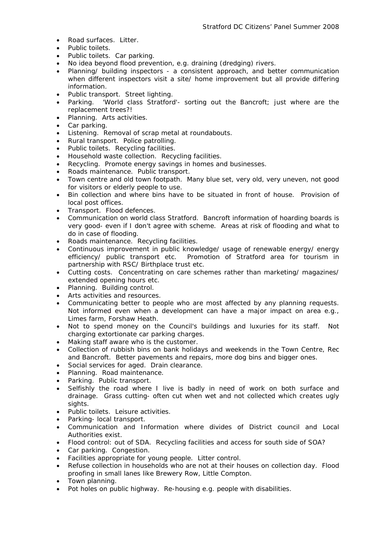- Road surfaces. Litter.
- Public toilets.
- Public toilets. Car parking.
- No idea beyond flood prevention, e.g. draining (dredging) rivers.
- Planning/ building inspectors - a consistent approach, and better communication when different inspectors visit a site/ home improvement but all provide differing information.
- Public transport. Street lighting.
- Parking. 'World class Stratford'- sorting out the Bancroft; just where are the replacement trees?!
- Planning. Arts activities.
- Car parking.
- Listening. Removal of scrap metal at roundabouts.
- Rural transport. Police patrolling.
- Public toilets. Recycling facilities.
- Household waste collection. Recycling facilities.
- Recycling. Promote energy savings in homes and businesses.
- Roads maintenance. Public transport.
- Town centre and old town footpath. Many blue set, very old, very uneven, not good for visitors or elderly people to use.
- Bin collection and where bins have to be situated in front of house. Provision of local post offices.
- Transport. Flood defences.
- Communication on world class Stratford. Bancroft information of hoarding boards is very good- even if I don't agree with scheme. Areas at risk of flooding and what to do in case of flooding.
- Roads maintenance. Recycling facilities.
- Continuous improvement in public knowledge/ usage of renewable energy/ energy efficiency/ public transport etc. Promotion of Stratford area for tourism in partnership with RSC/ Birthplace trust etc.
- Cutting costs. Concentrating on care schemes rather than marketing/ magazines/ extended opening hours etc.
- Planning. Building control.
- Arts activities and resources.
- Communicating better to people who are most affected by any planning requests. Not informed even when a development can have a major impact on area e.g., Limes farm, Forshaw Heath.
- Not to spend money on the Council's buildings and luxuries for its staff. Not charging extortionate car parking charges.
- Making staff aware who is the customer.
- Collection of rubbish bins on bank holidays and weekends in the Town Centre, Rec and Bancroft. Better pavements and repairs, more dog bins and bigger ones.
- Social services for aged. Drain clearance.
- Planning. Road maintenance.
- Parking. Public transport.
- Selfishly the road where I live is badly in need of work on both surface and drainage. Grass cutting- often cut when wet and not collected which creates ugly sights.
- Public toilets. Leisure activities.
- Parking- local transport.
- Communication and Information where divides of District council and Local Authorities exist.
- Flood control: out of SDA. Recycling facilities and access for south side of SOA?
- Car parking. Congestion.
- Facilities appropriate for young people. Litter control.
- Refuse collection in households who are not at their houses on collection day. Flood proofing in small lanes like Brewery Row, Little Compton.
- Town planning.
- Pot holes on public highway. Re-housing e.g. people with disabilities.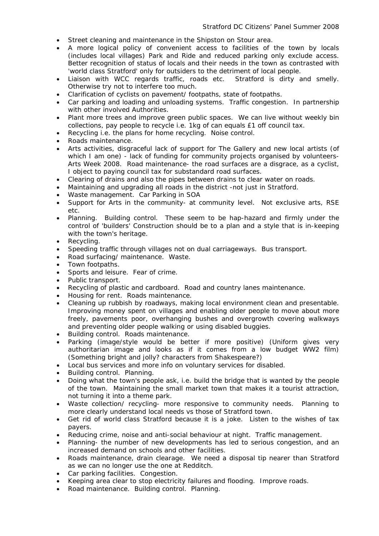- Street cleaning and maintenance in the Shipston on Stour area.
- A more logical policy of convenient access to facilities of the town by locals (includes local villages) Park and Ride and reduced parking only exclude access. Better recognition of status of locals and their needs in the town as contrasted with 'world class Stratford' only for outsiders to the detriment of local people.
- Liaison with WCC regards traffic, roads etc. Stratford is dirty and smelly. Otherwise try not to interfere too much.
- Clarification of cyclists on pavement/ footpaths, state of footpaths.
- Car parking and loading and unloading systems. Traffic congestion. In partnership with other involved Authorities.
- Plant more trees and improve green public spaces. We can live without weekly bin collections, pay people to recycle i.e. 1kg of can equals £1 off council tax.
- Recycling i.e. the plans for home recycling. Noise control.
- Roads maintenance.
- Arts activities, disgraceful lack of support for The Gallery and new local artists (of which I am one) - lack of funding for community projects organised by volunteers-Arts Week 2008. Road maintenance- the road surfaces are a disgrace, as a cyclist, I object to paying council tax for substandard road surfaces.
- Clearing of drains and also the pipes between drains to clear water on roads.
- Maintaining and upgrading all roads in the district -not just in Stratford.
- Waste management. Car Parking in SOA
- Support for Arts in the community- at community level. Not exclusive arts, RSE etc.
- Planning. Building control. These seem to be hap-hazard and firmly under the control of 'builders' Construction should be to a plan and a style that is in-keeping with the town's heritage.
- Recycling.
- Speeding traffic through villages not on dual carriageways. Bus transport.
- Road surfacing/ maintenance. Waste. •
- Town footpaths.
- Sports and leisure. Fear of crime.
- Public transport. •
- Recycling of plastic and cardboard. Road and country lanes maintenance.
- Housing for rent. Roads maintenance.
- Cleaning up rubbish by roadways, making local environment clean and presentable. Improving money spent on villages and enabling older people to move about more freely, pavements poor, overhanging bushes and overgrowth covering walkways and preventing older people walking or using disabled buggies.
- Building control. Roads maintenance.
- Parking (image/style would be better if more positive) (Uniform gives very authoritarian image and looks as if it comes from a low budget WW2 film) (Something bright and jolly? characters from Shakespeare?)
- Local bus services and more info on voluntary services for disabled.
- Building control. Planning.
- Doing what the town's people ask, i.e. build the bridge that is wanted by the people of the town. Maintaining the small market town that makes it a tourist attraction, not turning it into a theme park.
- Waste collection/ recycling- more responsive to community needs. Planning to more clearly understand local needs vs those of Stratford town.
- Get rid of world class Stratford because it is a joke. Listen to the wishes of tax payers.
- Reducing crime, noise and anti-social behaviour at night. Traffic management.
- Planning- the number of new developments has led to serious congestion, and an increased demand on schools and other facilities.
- Roads maintenance, drain clearage. We need a disposal tip nearer than Stratford as we can no longer use the one at Redditch.
- Car parking facilities. Congestion.
- Keeping area clear to stop electricity failures and flooding. Improve roads.
- Road maintenance. Building control. Planning.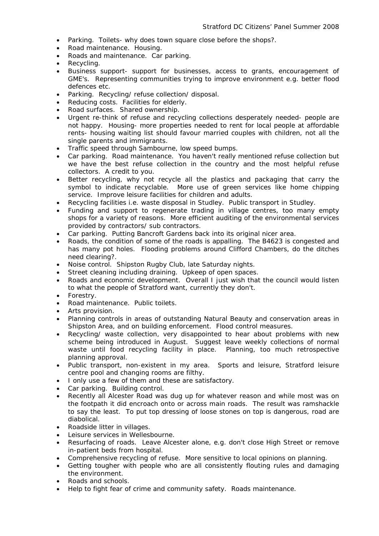- Parking. Toilets- why does town square close before the shops?.
- Road maintenance. Housing.
- Roads and maintenance. Car parking.
- Recycling. The contract of the contract of the contract of the contract of the contract of the contract of the contract of the contract of the contract of the contract of the contract of the contract of the contract of t
- Business support- support for businesses, access to grants, encouragement of GME's. Representing communities trying to improve environment e.g. better flood defences etc.
- Parking. Recycling/ refuse collection/ disposal.
- Reducing costs. Facilities for elderly.
- Road surfaces. Shared ownership.
- Urgent re-think of refuse and recycling collections desperately needed- people are not happy. Housing- more properties needed to rent for local people at affordable rents- housing waiting list should favour married couples with children, not all the single parents and immigrants.
- Traffic speed through Sambourne, low speed bumps.
- Car parking. Road maintenance. You haven't really mentioned refuse collection but we have the best refuse collection in the country and the most helpful refuse collectors. A credit to you.
- Better recycling, why not recycle all the plastics and packaging that carry the symbol to indicate recyclable. More use of green services like home chipping service. Improve leisure facilities for children and adults.
- Recycling facilities i.e. waste disposal in Studley. Public transport in Studley.
- Funding and support to regenerate trading in village centres, too many empty shops for a variety of reasons. More efficient auditing of the environmental services provided by contractors/ sub contractors.
- Car parking. Putting Bancroft Gardens back into its original nicer area.
- Roads, the condition of some of the roads is appalling. The B4623 is congested and has many pot holes. Flooding problems around Clifford Chambers, do the ditches need clearing?.
- Noise control. Shipston Rugby Club, late Saturday nights.
- Street cleaning including draining. Upkeep of open spaces.
- Roads and economic development. Overall I just wish that the council would listen to what the people of Stratford want, currently they don't.
- Forestry.
- Road maintenance. Public toilets.
- Arts provision.
- Planning controls in areas of outstanding Natural Beauty and conservation areas in Shipston Area, and on building enforcement. Flood control measures.
- Recycling/ waste collection, very disappointed to hear about problems with new scheme being introduced in August. Suggest leave weekly collections of normal waste until food recycling facility in place. Planning, too much retrospective planning approval.
- Public transport, non-existent in my area. Sports and leisure, Stratford leisure centre pool and changing rooms are filthy.
- I only use a few of them and these are satisfactory.
- Car parking. Building control.
- Recently all Alcester Road was dug up for whatever reason and while most was on • the footpath it did encroach onto or across main roads. The result was ramshackle to say the least. To put top dressing of loose stones on top is dangerous, road are diabolical.
- Roadside litter in villages.
- Leisure services in Wellesbourne.
- Resurfacing of roads. Leave Alcester alone, e.g. don't close High Street or remove in-patient beds from hospital.
- Comprehensive recycling of refuse. More sensitive to local opinions on planning.
- Getting tougher with people who are all consistently flouting rules and damaging the environment.
- Roads and schools.
- Help to fight fear of crime and community safety. Roads maintenance.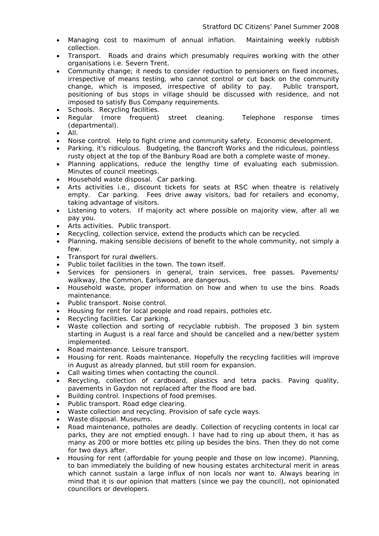- Managing cost to maximum of annual inflation. Maintaining weekly rubbish collection.
- Transport. Roads and drains which presumably requires working with the other organisations i.e. Severn Trent.
- Community change; it needs to consider reduction to pensioners on fixed incomes, irrespective of means testing, who cannot control or cut back on the community change, which is imposed, irrespective of ability to pay. Public transport, positioning of bus stops in village should be discussed with residence, and not imposed to satisfy Bus Company requirements.
- Schools. Recycling facilities.
- Regular (more frequent) street cleaning. Telephone response times (departmental).
- All.
- Noise control. Help to fight crime and community safety. Economic development.
- Parking, it's ridiculous. Budgeting, the Bancroft Works and the ridiculous, pointless rusty object at the top of the Banbury Road are both a complete waste of money.
- Planning applications, reduce the lengthy time of evaluating each submission. Minutes of council meetings.
- Household waste disposal. Car parking.
- Arts activities i.e., discount tickets for seats at RSC when theatre is relatively empty. Car parking. Fees drive away visitors, bad for retailers and economy, taking advantage of visitors.
- Listening to voters. If majority act where possible on majority view, after all we pay you.
- Arts activities. Public transport.
- Recycling, collection service, extend the products which can be recycled.
- Planning, making sensible decisions of benefit to the whole community, not simply a few.
- Transport for rural dwellers. •
- Public toilet facilities in the town. The town itself.
- Services for pensioners in general, train services, free passes. Pavements/ walkway, the Common, Earlswood, are dangerous.
- Household waste, proper information on how and when to use the bins. Roads maintenance.
- Public transport. Noise control.
- Housing for rent for local people and road repairs, potholes etc.
- Recycling facilities. Car parking.
- Waste collection and sorting of recyclable rubbish. The proposed 3 bin system starting in August is a real farce and should be cancelled and a new/better system implemented.
- Road maintenance. Leisure transport.
- Housing for rent. Roads maintenance. Hopefully the recycling facilities will improve in August as already planned, but still room for expansion.
- Call waiting times when contacting the council.
- Recycling, collection of cardboard, plastics and tetra packs. Paving quality, pavements in Gaydon not replaced after the flood are bad.
- Building control. Inspections of food premises.
- Public transport. Road edge clearing.
- Waste collection and recycling. Provision of safe cycle ways.
- Waste disposal. Museums.
- Road maintenance, potholes are deadly. Collection of recycling contents in local car parks, they are not emptied enough. I have had to ring up about them, it has as many as 200 or more bottles etc piling up besides the bins. Then they do not come for two days after.
- Housing for rent (affordable for young people and those on low income). Planning, to ban immediately the building of new housing estates architectural merit in areas which cannot sustain a large influx of non locals nor want to. Always bearing in mind that it is our opinion that matters (since we pay the council), not opinionated councillors or developers.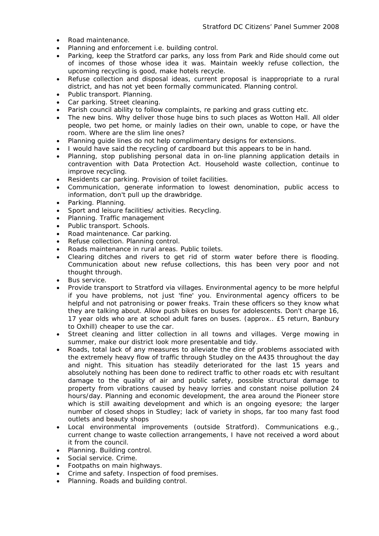- Road maintenance.
- Planning and enforcement i.e. building control.
- Parking, keep the Stratford car parks, any loss from Park and Ride should come out of incomes of those whose idea it was. Maintain weekly refuse collection, the upcoming recycling is good, make hotels recycle.
- Refuse collection and disposal ideas, current proposal is inappropriate to a rural district, and has not yet been formally communicated. Planning control.
- Public transport. Planning.
- Car parking. Street cleaning.
- Parish council ability to follow complaints, re parking and grass cutting etc.
- The new bins. Why deliver those huge bins to such places as Wotton Hall. All older people, two pet home, or mainly ladies on their own, unable to cope, or have the room. Where are the slim line ones?
- Planning guide lines do not help complimentary designs for extensions.
- I would have said the recycling of cardboard but this appears to be in hand.
- Planning, stop publishing personal data in on-line planning application details in • contravention with Data Protection Act. Household waste collection, continue to improve recycling.
- Residents car parking. Provision of toilet facilities.
- Communication, generate information to lowest denomination, public access to information, don't pull up the drawbridge.
- Parking. Planning.
- Sport and leisure facilities/ activities. Recycling.
- Planning. Traffic management
- Public transport. Schools.
- Road maintenance. Car parking.
- Refuse collection. Planning control.
- Roads maintenance in rural areas. Public toilets. •
- Clearing ditches and rivers to get rid of storm water before there is flooding. Communication about new refuse collections, this has been very poor and not thought through.
- Bus service.
- Provide transport to Stratford via villages. Environmental agency to be more helpful if you have problems, not just 'fine' you. Environmental agency officers to be helpful and not patronising or power freaks. Train these officers so they know what they are talking about. Allow push bikes on buses for adolescents. Don't charge 16, 17 year olds who are at school adult fares on buses. (approx.. £5 return, Banbury to Oxhill) cheaper to use the car.
- Street cleaning and litter collection in all towns and villages. Verge mowing in summer, make our district look more presentable and tidy.
- Roads, total lack of any measures to alleviate the dire of problems associated with the extremely heavy flow of traffic through Studley on the A435 throughout the day and night. This situation has steadily deteriorated for the last 15 years and absolutely nothing has been done to redirect traffic to other roads etc with resultant damage to the quality of air and public safety, possible structural damage to property from vibrations caused by heavy lorries and constant noise pollution 24 hours/day. Planning and economic development, the area around the Pioneer store which is still awaiting development and which is an ongoing eyesore; the larger number of closed shops in Studley; lack of variety in shops, far too many fast food outlets and beauty shops
- Local environmental improvements (outside Stratford). Communications e.g., current change to waste collection arrangements, I have not received a word about it from the council.
- Planning. Building control. •
- Social service. Crime.
- Footpaths on main highways. The contract of the contract of the contract of the contract of the contract of the contract of the contract of the contract of the contract of the contract of the contract of the contract of
- Crime and safety. Inspection of food premises. •
- Planning. Roads and building control.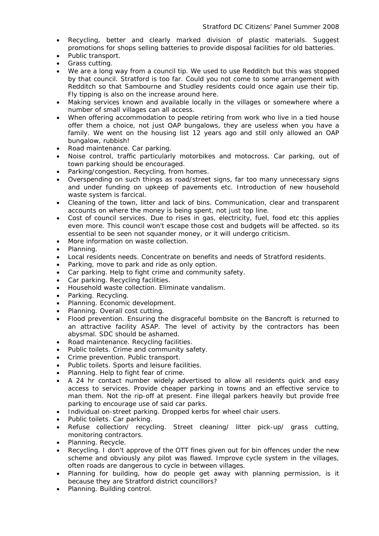- Recycling, better and clearly marked division of plastic materials. Suggest promotions for shops selling batteries to provide disposal facilities for old batteries.
- Public transport.
- Grass cutting.
- We are a long way from a council tip. We used to use Redditch but this was stopped by that council. Stratford is too far. Could you not come to some arrangement with Redditch so that Sambourne and Studley residents could once again use their tip. Fly tipping is also on the increase around here.
- Making services known and available locally in the villages or somewhere where a number of small villages can all access.
- When offering accommodation to people retiring from work who live in a tied house offer them a choice, not just OAP bungalows, they are useless when you have a family. We went on the housing list 12 years ago and still only allowed an OAP bungalow, rubbish!
- Road maintenance. Car parking.
- Noise control, traffic particularly motorbikes and motocross. Car parking, out of town parking should be encouraged.
- Parking/congestion. Recycling, from homes.
- Overspending on such things as road/street signs, far too many unnecessary signs and under funding on upkeep of pavements etc. Introduction of new household waste system is farcical.
- Cleaning of the town, litter and lack of bins. Communication, clear and transparent accounts on where the money is being spent, not just top line.
- Cost of council services. Due to rises in gas, electricity, fuel, food etc this applies even more. This council won't escape those cost and budgets will be affected. so its essential to be seen not squander money, or it will undergo criticism.
- More information on waste collection.
- Planning.
- Local residents needs. Concentrate on benefits and needs of Stratford residents.
- Parking, move to park and ride as only option.
- Car parking. Help to fight crime and community safety.
- Car parking. Recycling facilities.
- Household waste collection. Eliminate vandalism.
- Parking. Recycling.
- Planning. Economic development.
- Planning. Overall cost cutting.
- Flood prevention. Ensuring the disgraceful bombsite on the Bancroft is returned to an attractive facility ASAP. The level of activity by the contractors has been abysmal. SDC should be ashamed.
- Road maintenance. Recycling facilities.
- Public toilets. Crime and community safety.
- Crime prevention. Public transport.
- Public toilets. Sports and leisure facilities.
- Planning. Help to fight fear of crime.
- A 24 hr contact number widely advertised to allow all residents quick and easy access to services. Provide cheaper parking in towns and an effective service to man them. Not the rip-off at present. Fine illegal parkers heavily but provide free parking to encourage use of said car parks.
- Individual on-street parking. Dropped kerbs for wheel chair users.
- Public toilets. Car parking.
- Refuse collection/ recycling. Street cleaning/ litter pick-up/ grass cutting, monitoring contractors.
- Planning. Recycle.
- Recycling. I don't approve of the OTT fines given out for bin offences under the new scheme and obviously any pilot was flawed. Improve cycle system in the villages, often roads are dangerous to cycle in between villages.
- Planning for building, how do people get away with planning permission, is it because they are Stratford district councillors?
- Planning. Building control.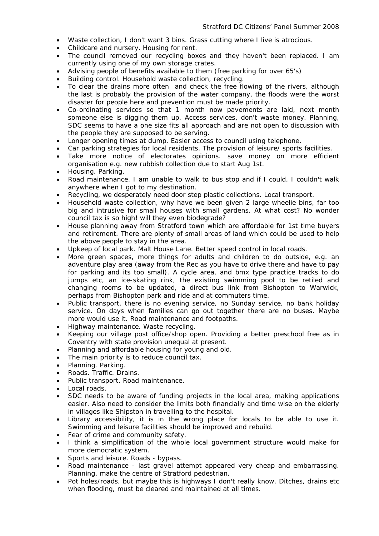- Waste collection, I don't want 3 bins. Grass cutting where I live is atrocious.
- Childcare and nursery. Housing for rent.
- The council removed our recycling boxes and they haven't been replaced. I am currently using one of my own storage crates.
- Advising people of benefits available to them (free parking for over 65's)
- Building control. Household waste collection, recycling.
- To clear the drains more often and check the free flowing of the rivers, although the last is probably the provision of the water company, the floods were the worst disaster for people here and prevention must be made priority.
- Co-ordinating services so that 1 month now pavements are laid, next month someone else is digging them up. Access services, don't waste money. Planning, SDC seems to have a one size fits all approach and are not open to discussion with the people they are supposed to be serving.
- Longer opening times at dump. Easier access to council using telephone.
- Car parking strategies for local residents. The provision of leisure/ sports facilities.
- Take more notice of electorates opinions. save money on more efficient organisation e.g. new rubbish collection due to start Aug 1st.
- Housing. Parking.
- Road maintenance. I am unable to walk to bus stop and if I could, I couldn't walk anywhere when I got to my destination.
- Recycling, we desperately need door step plastic collections. Local transport.
- Household waste collection, why have we been given 2 large wheelie bins, far too big and intrusive for small houses with small gardens. At what cost? No wonder council tax is so high! will they even biodegrade?
- House planning away from Stratford town which are affordable for 1st time buyers and retirement. There are plenty of small areas of land which could be used to help the above people to stay in the area.
- Upkeep of local park. Malt House Lane. Better speed control in local roads.
- More green spaces, more things for adults and children to do outside, e.g. an adventure play area (away from the Rec as you have to drive there and have to pay for parking and its too small). A cycle area, and bmx type practice tracks to do jumps etc, an ice-skating rink, the existing swimming pool to be retiled and changing rooms to be updated, a direct bus link from Bishopton to Warwick, perhaps from Bishopton park and ride and at commuters time.
- Public transport, there is no evening service, no Sunday service, no bank holiday service. On days when families can go out together there are no buses. Maybe more would use it. Road maintenance and footpaths.
- Highway maintenance. Waste recycling. The control of the control of the control of the control of the control of the control of the control of the control of the control of the control of the control of the control of th
- Keeping our village post office/shop open. Providing a better preschool free as in Coventry with state provision unequal at present.
- Planning and affordable housing for young and old.
- The main priority is to reduce council tax.
- Planning. Parking.
- Roads. Traffic. Drains.
- Public transport. Road maintenance.
- Local roads. The contract of the contract of the contract of the contract of the contract of the contract of the contract of the contract of the contract of the contract of the contract of the contract of the contract of
- SDC needs to be aware of funding projects in the local area, making applications easier. Also need to consider the limits both financially and time wise on the elderly in villages like Shipston in travelling to the hospital.
- Library accessibility, it is in the wrong place for locals to be able to use it. Swimming and leisure facilities should be improved and rebuild.
- Fear of crime and community safety.
- I think a simplification of the whole local government structure would make for more democratic system.
- Sports and leisure. Roads bypass.
- Road maintenance last gravel attempt appeared very cheap and embarrassing. Planning, make the centre of Stratford pedestrian.
- Pot holes/roads, but maybe this is highways I don't really know. Ditches, drains etc when flooding, must be cleared and maintained at all times.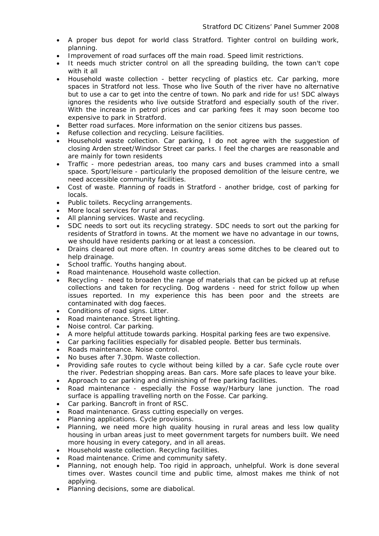- A proper bus depot for world class Stratford. Tighter control on building work, planning.
- Improvement of road surfaces off the main road. Speed limit restrictions.
- It needs much stricter control on all the spreading building, the town can't cope with it all
- Household waste collection better recycling of plastics etc. Car parking, more spaces in Stratford not less. Those who live South of the river have no alternative but to use a car to get into the centre of town. No park and ride for us! SDC always ignores the residents who live outside Stratford and especially south of the river. With the increase in petrol prices and car parking fees it may soon become too expensive to park in Stratford.
- Better road surfaces. More information on the senior citizens bus passes.
- Refuse collection and recycling. Leisure facilities.
- Household waste collection. Car parking, I do not agree with the suggestion of closing Arden street/Windsor Street car parks. I feel the charges are reasonable and are mainly for town residents
- Traffic more pedestrian areas, too many cars and buses crammed into a small • space. Sport/leisure - particularly the proposed demolition of the leisure centre, we need accessible community facilities.
- Cost of waste. Planning of roads in Stratford another bridge, cost of parking for locals.
- Public toilets. Recycling arrangements.
- More local services for rural areas.
- All planning services. Waste and recycling.
- SDC needs to sort out its recycling strategy. SDC needs to sort out the parking for residents of Stratford in towns. At the moment we have no advantage in our towns, we should have residents parking or at least a concession.
- Drains cleared out more often. In country areas some ditches to be cleared out to help drainage.
- School traffic. Youths hanging about.
- Road maintenance. Household waste collection.
- Recycling need to broaden the range of materials that can be picked up at refuse collections and taken for recycling. Dog wardens - need for strict follow up when issues reported. In my experience this has been poor and the streets are contaminated with dog faeces.
- Conditions of road signs. Litter.
- Road maintenance. Street lighting.
- Noise control. Car parking.
- A more helpful attitude towards parking. Hospital parking fees are two expensive.
- Car parking facilities especially for disabled people. Better bus terminals.
- Roads maintenance. Noise control.
- No buses after 7.30pm. Waste collection.
- Providing safe routes to cycle without being killed by a car. Safe cycle route over the river. Pedestrian shopping areas. Ban cars. More safe places to leave your bike.
- Approach to car parking and diminishing of free parking facilities.
- Road maintenance especially the Fosse way/Harbury lane junction. The road surface is appalling travelling north on the Fosse. Car parking.
- Car parking. Bancroft in front of RSC.
- Road maintenance. Grass cutting especially on verges.
- Planning applications. Cycle provisions.
- Planning, we need more high quality housing in rural areas and less low quality housing in urban areas just to meet government targets for numbers built. We need more housing in every category, and in all areas.
- Household waste collection. Recycling facilities.
- Road maintenance. Crime and community safety.
- Planning, not enough help. Too rigid in approach, unhelpful. Work is done several times over. Wastes council time and public time, almost makes me think of not applying.
- Planning decisions, some are diabolical.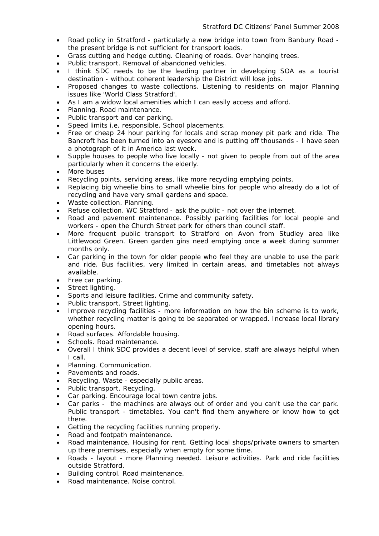- Road policy in Stratford particularly a new bridge into town from Banbury Road the present bridge is not sufficient for transport loads.
- Grass cutting and hedge cutting. Cleaning of roads. Over hanging trees.
- Public transport. Removal of abandoned vehicles.
- I think SDC needs to be the leading partner in developing SOA as a tourist destination - without coherent leadership the District will lose jobs.
- Proposed changes to waste collections. Listening to residents on major Planning issues like 'World Class Stratford'.
- As I am a widow local amenities which I can easily access and afford.
- Planning. Road maintenance.
- Public transport and car parking.
- Speed limits i.e. responsible. School placements.
- Free or cheap 24 hour parking for locals and scrap money pit park and ride. The Bancroft has been turned into an eyesore and is putting off thousands - I have seen a photograph of it in America last week.
- Supple houses to people who live locally - not given to people from out of the area particularly when it concerns the elderly.
- More buses
- Recycling points, servicing areas, like more recycling emptying points.
- Replacing big wheelie bins to small wheelie bins for people who already do a lot of recycling and have very small gardens and space.
- Waste collection. Planning.
- Refuse collection. WC Stratford ask the public not over the internet.
- Road and pavement maintenance. Possibly parking facilities for local people and workers - open the Church Street park for others than council staff.
- More frequent public transport to Stratford on Avon from Studley area like Littlewood Green. Green garden gins need emptying once a week during summer months only.
- Car parking in the town for older people who feel they are unable to use the park and ride. Bus facilities, very limited in certain areas, and timetables not always available.
- Free car parking.
- Street lighting.
- Sports and leisure facilities. Crime and community safety.
- Public transport. Street lighting.
- Improve recycling facilities more information on how the bin scheme is to work, whether recycling matter is going to be separated or wrapped. Increase local library opening hours.
- Road surfaces. Affordable housing.
- Schools. Road maintenance.
- Overall I think SDC provides a decent level of service, staff are always helpful when I call.
- Planning. Communication.
- Pavements and roads.
- Recycling. Waste especially public areas.
- Public transport. Recycling.
- Car parking. Encourage local town centre jobs. •
- Car parks the machines are always out of order and you can't use the car park. Public transport - timetables. You can't find them anywhere or know how to get there.
- Getting the recycling facilities running properly.
- Road and footpath maintenance.
- Road maintenance. Housing for rent. Getting local shops/private owners to smarten • up there premises, especially when empty for some time.
- Roads layout more Planning needed. Leisure activities. Park and ride facilities outside Stratford.
- Building control. Road maintenance.
- Road maintenance. Noise control.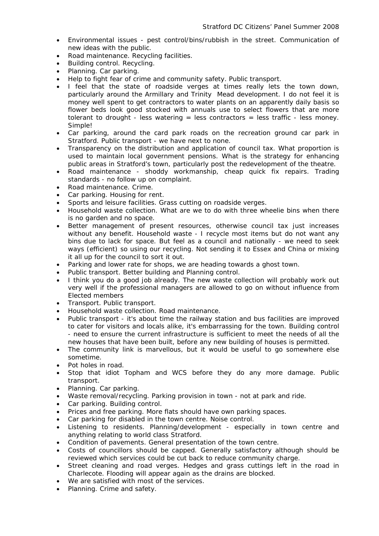- Environmental issues pest control/bins/rubbish in the street. Communication of new ideas with the public.
- Road maintenance. Recycling facilities.
- Building control. Recycling.
- Planning. Car parking.
- Help to fight fear of crime and community safety. Public transport. •
- I feel that the state of roadside verges at times really lets the town down, particularly around the Armillary and Trinity Mead development. I do not feel it is money well spent to get contractors to water plants on an apparently daily basis so flower beds look good stocked with annuals use to select flowers that are more tolerant to drought - less watering  $=$  less contractors  $=$  less traffic - less money. Simple!
- Car parking, around the card park roads on the recreation ground car park in Stratford. Public transport - we have next to none.
- Transparency on the distribution and application of council tax. What proportion is used to maintain local government pensions. What is the strategy for enhancing public areas in Stratford's town, particularly post the redevelopment of the theatre.
- Road maintenance shoddy workmanship, cheap quick fix repairs. Trading standards - no follow up on complaint.
- Road maintenance. Crime.
- Car parking. Housing for rent.
- Sports and leisure facilities. Grass cutting on roadside verges.
- Household waste collection. What are we to do with three wheelie bins when there is no garden and no space.
- Better management of present resources, otherwise council tax just increases without any benefit. Household waste - I recycle most items but do not want any bins due to lack for space. But feel as a council and nationally - we need to seek ways (efficient) so using our recycling. Not sending it to Essex and China or mixing it all up for the council to sort it out.
- Parking and lower rate for shops, we are heading towards a ghost town.
- Public transport. Better building and Planning control.
- I think you do a good job already. The new waste collection will probably work out very well if the professional managers are allowed to go on without influence from Elected members
- Transport. Public transport.
- Household waste collection. Road maintenance.
- Public transport it's about time the railway station and bus facilities are improved to cater for visitors and locals alike, it's embarrassing for the town. Building control - need to ensure the current infrastructure is sufficient to meet the needs of all the new houses that have been built, before any new building of houses is permitted.
- The community link is marvellous, but it would be useful to go somewhere else sometime.
- Pot holes in road.
- Stop that idiot Topham and WCS before they do any more damage. Public transport.
- Planning. Car parking.
- Waste removal/recycling. Parking provision in town not at park and ride.
- Car parking. Building control.
- Prices and free parking. More flats should have own parking spaces.
- Car parking for disabled in the town centre. Noise control.
- Listening to residents. Planning/development especially in town centre and anything relating to world class Stratford.
- Condition of pavements. General presentation of the town centre.
- Costs of councillors should be capped. Generally satisfactory although should be reviewed which services could be cut back to reduce community charge.
- Street cleaning and road verges. Hedges and grass cuttings left in the road in Charlecote. Flooding will appear again as the drains are blocked.
- We are satisfied with most of the services.
- Planning. Crime and safety.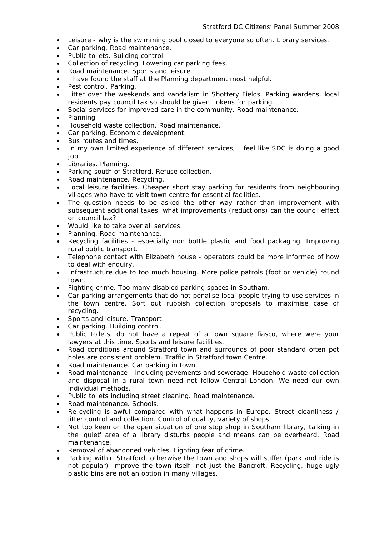- Leisure why is the swimming pool closed to everyone so often. Library services.
- Car parking. Road maintenance.
- Public toilets. Building control.
- Collection of recycling. Lowering car parking fees.
- Road maintenance. Sports and leisure.
- I have found the staff at the Planning department most helpful.
- Pest control. Parking.
- Litter over the weekends and vandalism in Shottery Fields. Parking wardens, local residents pay council tax so should be given Tokens for parking.
- Social services for improved care in the community. Road maintenance.<br>• Planning
- Planning
- Household waste collection. Road maintenance.
- Car parking. Economic development.
- Bus routes and times.
- In my own limited experience of different services, I feel like SDC is doing a good job.
- Libraries. Planning.
- Parking south of Stratford. Refuse collection.
- Road maintenance. Recycling.
- Local leisure facilities. Cheaper short stay parking for residents from neighbouring villages who have to visit town centre for essential facilities.
- The question needs to be asked the other way rather than improvement with subsequent additional taxes, what improvements (reductions) can the council effect on council tax?
- Would like to take over all services.
- Planning. Road maintenance. The control of the control of the control of the control of the control of the control of the control of the control of the control of the control of the control of the control of the control
- Recycling facilities especially non bottle plastic and food packaging. Improving rural public transport.
- Telephone contact with Elizabeth house operators could be more informed of how to deal with enquiry.
- Infrastructure due to too much housing. More police patrols (foot or vehicle) round town.
- Fighting crime. Too many disabled parking spaces in Southam.
- Car parking arrangements that do not penalise local people trying to use services in the town centre. Sort out rubbish collection proposals to maximise case of recycling.
- Sports and leisure. Transport.
- Car parking. Building control. **Example 20** and the control of the control of the control of the control.
- Public toilets, do not have a repeat of a town square fiasco, where were your lawyers at this time. Sports and leisure facilities.
- Road conditions around Stratford town and surrounds of poor standard often pot holes are consistent problem. Traffic in Stratford town Centre.
- Road maintenance. Car parking in town.
- Road maintenance including pavements and sewerage. Household waste collection and disposal in a rural town need not follow Central London. We need our own individual methods.
- Public toilets including street cleaning. Road maintenance.
- Road maintenance. Schools.
- Re-cycling is awful compared with what happens in Europe. Street cleanliness / litter control and collection. Control of quality, variety of shops.
- Not too keen on the open situation of one stop shop in Southam library, talking in the 'quiet' area of a library disturbs people and means can be overheard. Road maintenance.
- Removal of abandoned vehicles. Fighting fear of crime.
- Parking within Stratford, otherwise the town and shops will suffer (park and ride is not popular) Improve the town itself, not just the Bancroft. Recycling, huge ugly plastic bins are not an option in many villages.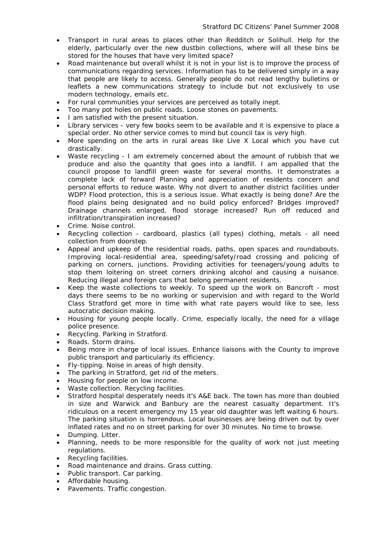- Transport in rural areas to places other than Redditch or Solihull. Help for the elderly, particularly over the new dustbin collections, where will all these bins be stored for the houses that have very limited space?
- Road maintenance but overall whilst it is not in your list is to improve the process of communications regarding services. Information has to be delivered simply in a way that people are likely to access. Generally people do not read lengthy bulletins or leaflets a new communications strategy to include but not exclusively to use modern technology, emails etc.
- For rural communities your services are perceived as totally inept.
- Too many pot holes on public roads. Loose stones on pavements.
- I am satisfied with the present situation.
- Library services very few books seem to be available and it is expensive to place a special order. No other service comes to mind but council tax is very high.
- More spending on the arts in rural areas like Live X Local which you have cut drastically.
- Waste recycling I am extremely concerned about the amount of rubbish that we produce and also the quantity that goes into a landfill. I am appalled that the council propose to landfill green waste for several months. It demonstrates a complete lack of forward Planning and appreciation of residents concern and personal efforts to reduce waste. Why not divert to another district facilities under WDP? Flood protection, this is a serious issue. What exactly is being done? Are the flood plains being designated and no build policy enforced? Bridges improved? Drainage channels enlarged, flood storage increased? Run off reduced and infiltration/transpiration increased?
- Crime. Noise control.
- Recycling collection cardboard, plastics (all types) clothing, metals all need collection from doorstep.
- Appeal and upkeep of the residential roads, paths, open spaces and roundabouts. Improving local-residential area, speeding/safety/road crossing and policing of parking on corners, junctions. Providing activities for teenagers/young adults to stop them loitering on street corners drinking alcohol and causing a nuisance. Reducing illegal and foreign cars that belong permanent residents.
- Keep the waste collections to weekly. To speed up the work on Bancroft most days there seems to be no working or supervision and with regard to the World Class Stratford get more in time with what rate payers would like to see, less autocratic decision making.
- Housing for young people locally. Crime, especially locally, the need for a village police presence.
- Recycling. Parking in Stratford.
- Roads. Storm drains.
- Being more in charge of local issues. Enhance liaisons with the County to improve public transport and particularly its efficiency.
- Fly-tipping. Noise in areas of high density.
- The parking in Stratford, get rid of the meters.
- Housing for people on low income.
- Waste collection. Recycling facilities.
- Stratford hospital desperately needs it's A&E back. The town has more than doubled in size and Warwick and Banbury are the nearest casualty department. It's ridiculous on a recent emergency my 15 year old daughter was left waiting 6 hours. The parking situation is horrendous. Local businesses are being driven out by over inflated rates and no on street parking for over 30 minutes. No time to browse.
- Dumping. Litter. •
- Planning, needs to be more responsible for the quality of work not just meeting regulations.
- Recycling facilities.
- Road maintenance and drains. Grass cutting.
- Public transport. Car parking.
- Affordable housing.
- Pavements. Traffic congestion.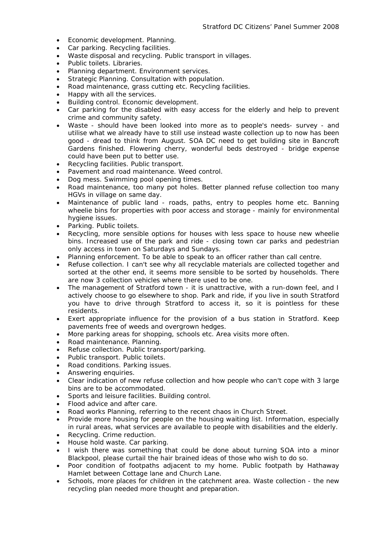- Economic development. Planning.
- Car parking. Recycling facilities.
- Waste disposal and recycling. Public transport in villages.
- Public toilets. Libraries.
- Planning department. Environment services.
- Strategic Planning. Consultation with population.
- Road maintenance, grass cutting etc. Recycling facilities.
- Happy with all the services.
- Building control. Economic development.
- Car parking for the disabled with easy access for the elderly and help to prevent crime and community safety.
- Waste should have been looked into more as to people's needs- survey and utilise what we already have to still use instead waste collection up to now has been good - dread to think from August. SOA DC need to get building site in Bancroft Gardens finished. Flowering cherry, wonderful beds destroyed - bridge expense could have been put to better use.
- Recycling facilities. Public transport.
- Pavement and road maintenance. Weed control.
- Dog mess. Swimming pool opening times.
- Road maintenance, too many pot holes. Better planned refuse collection too many HGVs in village on same day.
- Maintenance of public land roads, paths, entry to peoples home etc. Banning wheelie bins for properties with poor access and storage - mainly for environmental hygiene issues.
- Parking. Public toilets.
- Recycling, more sensible options for houses with less space to house new wheelie bins. Increased use of the park and ride - closing town car parks and pedestrian only access in town on Saturdays and Sundays.
- Planning enforcement. To be able to speak to an officer rather than call centre.
- Refuse collection. I can't see why all recyclable materials are collected together and sorted at the other end, it seems more sensible to be sorted by households. There are now 3 collection vehicles where there used to be one.
- The management of Stratford town it is unattractive, with a run-down feel, and I actively choose to go elsewhere to shop. Park and ride, if you live in south Stratford you have to drive through Stratford to access it, so it is pointless for these residents.
- Exert appropriate influence for the provision of a bus station in Stratford. Keep pavements free of weeds and overgrown hedges.
- More parking areas for shopping, schools etc. Area visits more often.
- Road maintenance. Planning.
- Refuse collection. Public transport/parking.
- Public transport. Public toilets.
- Road conditions. Parking issues.
- Answering enquiries.
- Clear indication of new refuse collection and how people who can't cope with 3 large bins are to be accommodated.
- Sports and leisure facilities. Building control.
- Flood advice and after care.
- Road works Planning, referring to the recent chaos in Church Street.
- Provide more housing for people on the housing waiting list. Information, especially in rural areas, what services are available to people with disabilities and the elderly.
- Recycling. Crime reduction.
- House hold waste. Car parking.
- I wish there was something that could be done about turning SOA into a minor • Blackpool, please curtail the hair brained ideas of those who wish to do so.
- Poor condition of footpaths adjacent to my home. Public footpath by Hathaway Hamlet between Cottage lane and Church Lane.
- Schools, more places for children in the catchment area. Waste collection the new recycling plan needed more thought and preparation.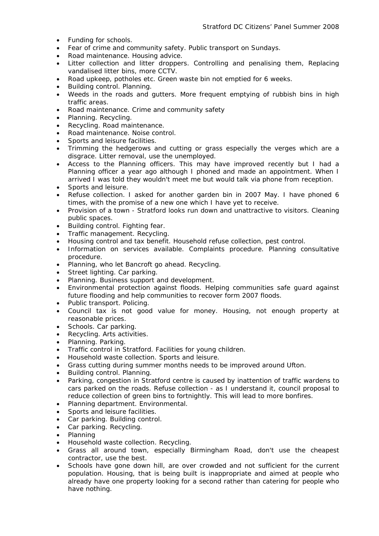- Funding for schools.
- Fear of crime and community safety. Public transport on Sundays.
- Road maintenance. Housing advice.
- Litter collection and litter droppers. Controlling and penalising them, Replacing vandalised litter bins, more CCTV.
- Road upkeep, potholes etc. Green waste bin not emptied for 6 weeks.
- Building control. Planning.
- Weeds in the roads and gutters. More frequent emptying of rubbish bins in high traffic areas.
- Road maintenance. Crime and community safety
- Planning. Recycling. •
- Recycling. Road maintenance.
- Road maintenance. Noise control. **Example 2018**
- Sports and leisure facilities.
- Trimming the hedgerows and cutting or grass especially the verges which are a disgrace. Litter removal, use the unemployed.
- Access to the Planning officers. This may have improved recently but I had a Planning officer a year ago although I phoned and made an appointment. When I arrived I was told they wouldn't meet me but would talk via phone from reception.
- Sports and leisure.
- Refuse collection. I asked for another garden bin in 2007 May. I have phoned 6 times, with the promise of a new one which I have yet to receive.
- Provision of a town Stratford looks run down and unattractive to visitors. Cleaning public spaces.
- Building control. Fighting fear.
- Traffic management. Recycling.
- Housing control and tax benefit. Household refuse collection, pest control.
- Information on services available. Complaints procedure. Planning consultative procedure.
- Planning, who let Bancroft go ahead. Recycling.
- Street lighting. Car parking.
- Planning. Business support and development.
- Environmental protection against floods. Helping communities safe guard against future flooding and help communities to recover form 2007 floods.
- Public transport. Policing.
- Council tax is not good value for money. Housing, not enough property at reasonable prices.
- Schools. Car parking.
- Recycling. Arts activities.
- Planning. Parking.
- Traffic control in Stratford. Facilities for young children.
- Household waste collection. Sports and leisure.
- Grass cutting during summer months needs to be improved around Ufton.
- Building control. Planning.
- Parking, congestion in Stratford centre is caused by inattention of traffic wardens to cars parked on the roads. Refuse collection - as I understand it, council proposal to reduce collection of green bins to fortnightly. This will lead to more bonfires.
- Planning department. Environmental.
- Sports and leisure facilities.
- Car parking. Building control.
- Car parking. Recycling. **All and the contract of the contract of the contract of the contract of the contract of the contract of the contract of the contract of the contract of the contract of the contract of the contrac**
- Planning
- Household waste collection. Recycling.
- Grass all around town, especially Birmingham Road, don't use the cheapest contractor, use the best.
- Schools have gone down hill, are over crowded and not sufficient for the current population. Housing, that is being built is inappropriate and aimed at people who already have one property looking for a second rather than catering for people who have nothing.